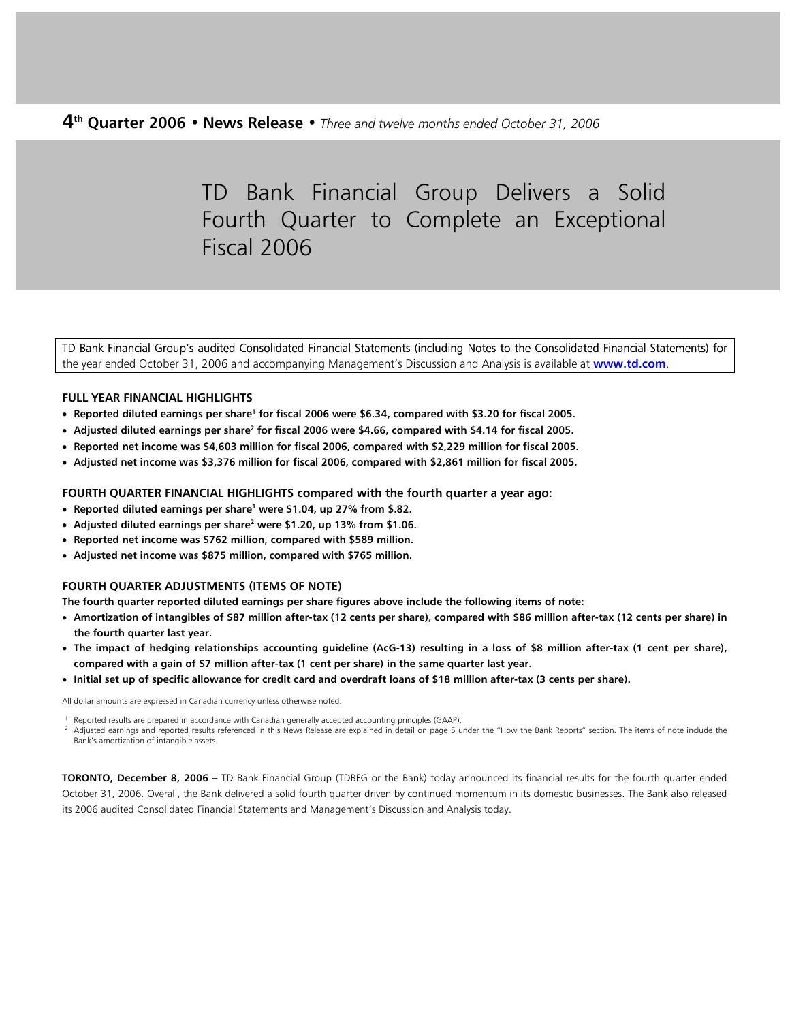# TD Bank Financial Group Delivers a Solid Fourth Quarter to Complete an Exceptional Fiscal 2006

TD Bank Financial Group's audited Consolidated Financial Statements (including Notes to the Consolidated Financial Statements) for the year ended October 31, 2006 and accompanying Management's Discussion and Analysis is available at **[www.td.com](http://www.td.com/)**.

## **FULL YEAR FINANCIAL HIGHLIGHTS**

- **Reported diluted earnings per share<sup>1</sup> for fiscal 2006 were \$6.34, compared with \$3.20 for fiscal 2005.**
- **•** Adjusted diluted earnings per share<sup>2</sup> for fiscal 2006 were \$4.66, compared with \$4.14 for fiscal 2005.
- **Reported net income was \$4,603 million for fiscal 2006, compared with \$2,229 million for fiscal 2005.**
- **Adjusted net income was \$3,376 million for fiscal 2006, compared with \$2,861 million for fiscal 2005.**

#### **FOURTH QUARTER FINANCIAL HIGHLIGHTS compared with the fourth quarter a year ago:**

- **Reported diluted earnings per share<sup>1</sup> were \$1.04, up 27% from \$.82.**
- **•** Adjusted diluted earnings per share<sup>2</sup> were \$1.20, up 13% from \$1.06.
- **Reported net income was \$762 million, compared with \$589 million.**
- **Adjusted net income was \$875 million, compared with \$765 million.**

## **FOURTH QUARTER ADJUSTMENTS (ITEMS OF NOTE)**

**The fourth quarter reported diluted earnings per share figures above include the following items of note:** 

- **Amortization of intangibles of \$87 million after-tax (12 cents per share), compared with \$86 million after-tax (12 cents per share) in the fourth quarter last year.**
- **The impact of hedging relationships accounting guideline (AcG-13) resulting in a loss of \$8 million after-tax (1 cent per share), compared with a gain of \$7 million after-tax (1 cent per share) in the same quarter last year.**
- **Initial set up of specific allowance for credit card and overdraft loans of \$18 million after-tax (3 cents per share).**

All dollar amounts are expressed in Canadian currency unless otherwise noted.

Reported results are prepared in accordance with Canadian generally accepted accounting principles (GAAP).<br>Adjusted earnings and reported results referenced in this News Release are explained in detail on page 5 under the Bank's amortization of intangible assets.

**TORONTO, December 8, 2006 –** TD Bank Financial Group (TDBFG or the Bank) today announced its financial results for the fourth quarter ended October 31, 2006. Overall, the Bank delivered a solid fourth quarter driven by continued momentum in its domestic businesses. The Bank also released its 2006 audited Consolidated Financial Statements and Management's Discussion and Analysis today.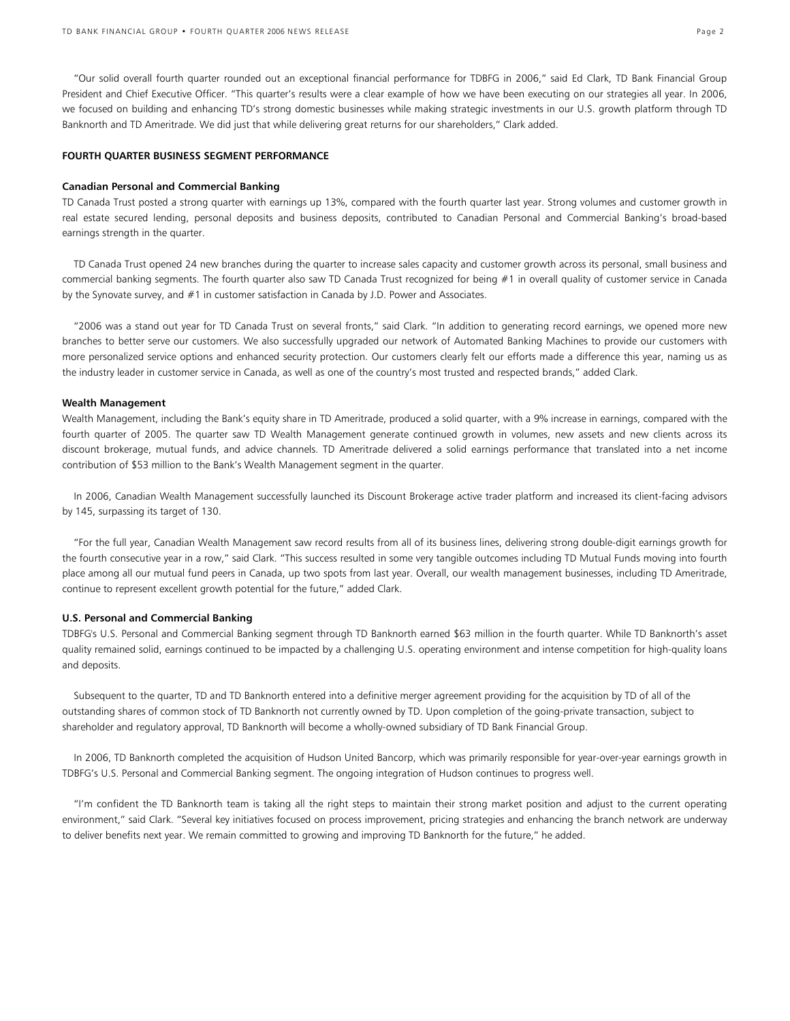"Our solid overall fourth quarter rounded out an exceptional financial performance for TDBFG in 2006," said Ed Clark, TD Bank Financial Group President and Chief Executive Officer. "This quarter's results were a clear example of how we have been executing on our strategies all year. In 2006, we focused on building and enhancing TD's strong domestic businesses while making strategic investments in our U.S. growth platform through TD Banknorth and TD Ameritrade. We did just that while delivering great returns for our shareholders," Clark added.

#### **FOURTH QUARTER BUSINESS SEGMENT PERFORMANCE**

#### **Canadian Personal and Commercial Banking**

TD Canada Trust posted a strong quarter with earnings up 13%, compared with the fourth quarter last year. Strong volumes and customer growth in real estate secured lending, personal deposits and business deposits, contributed to Canadian Personal and Commercial Banking's broad-based earnings strength in the quarter.

 TD Canada Trust opened 24 new branches during the quarter to increase sales capacity and customer growth across its personal, small business and commercial banking segments. The fourth quarter also saw TD Canada Trust recognized for being #1 in overall quality of customer service in Canada by the Synovate survey, and #1 in customer satisfaction in Canada by J.D. Power and Associates.

 "2006 was a stand out year for TD Canada Trust on several fronts," said Clark. "In addition to generating record earnings, we opened more new branches to better serve our customers. We also successfully upgraded our network of Automated Banking Machines to provide our customers with more personalized service options and enhanced security protection. Our customers clearly felt our efforts made a difference this year, naming us as the industry leader in customer service in Canada, as well as one of the country's most trusted and respected brands," added Clark.

#### **Wealth Management**

Wealth Management, including the Bank's equity share in TD Ameritrade, produced a solid quarter, with a 9% increase in earnings, compared with the fourth quarter of 2005. The quarter saw TD Wealth Management generate continued growth in volumes, new assets and new clients across its discount brokerage, mutual funds, and advice channels. TD Ameritrade delivered a solid earnings performance that translated into a net income contribution of \$53 million to the Bank's Wealth Management segment in the quarter.

 In 2006, Canadian Wealth Management successfully launched its Discount Brokerage active trader platform and increased its client-facing advisors by 145, surpassing its target of 130.

 "For the full year, Canadian Wealth Management saw record results from all of its business lines, delivering strong double-digit earnings growth for the fourth consecutive year in a row," said Clark. "This success resulted in some very tangible outcomes including TD Mutual Funds moving into fourth place among all our mutual fund peers in Canada, up two spots from last year. Overall, our wealth management businesses, including TD Ameritrade, continue to represent excellent growth potential for the future," added Clark.

#### **U.S. Personal and Commercial Banking**

TDBFG's U.S. Personal and Commercial Banking segment through TD Banknorth earned \$63 million in the fourth quarter. While TD Banknorth's asset quality remained solid, earnings continued to be impacted by a challenging U.S. operating environment and intense competition for high-quality loans and deposits.

 Subsequent to the quarter, TD and TD Banknorth entered into a definitive merger agreement providing for the acquisition by TD of all of the outstanding shares of common stock of TD Banknorth not currently owned by TD. Upon completion of the going-private transaction, subject to shareholder and regulatory approval, TD Banknorth will become a wholly-owned subsidiary of TD Bank Financial Group.

 In 2006, TD Banknorth completed the acquisition of Hudson United Bancorp, which was primarily responsible for year-over-year earnings growth in TDBFG's U.S. Personal and Commercial Banking segment. The ongoing integration of Hudson continues to progress well.

 "I'm confident the TD Banknorth team is taking all the right steps to maintain their strong market position and adjust to the current operating environment," said Clark. "Several key initiatives focused on process improvement, pricing strategies and enhancing the branch network are underway to deliver benefits next year. We remain committed to growing and improving TD Banknorth for the future," he added.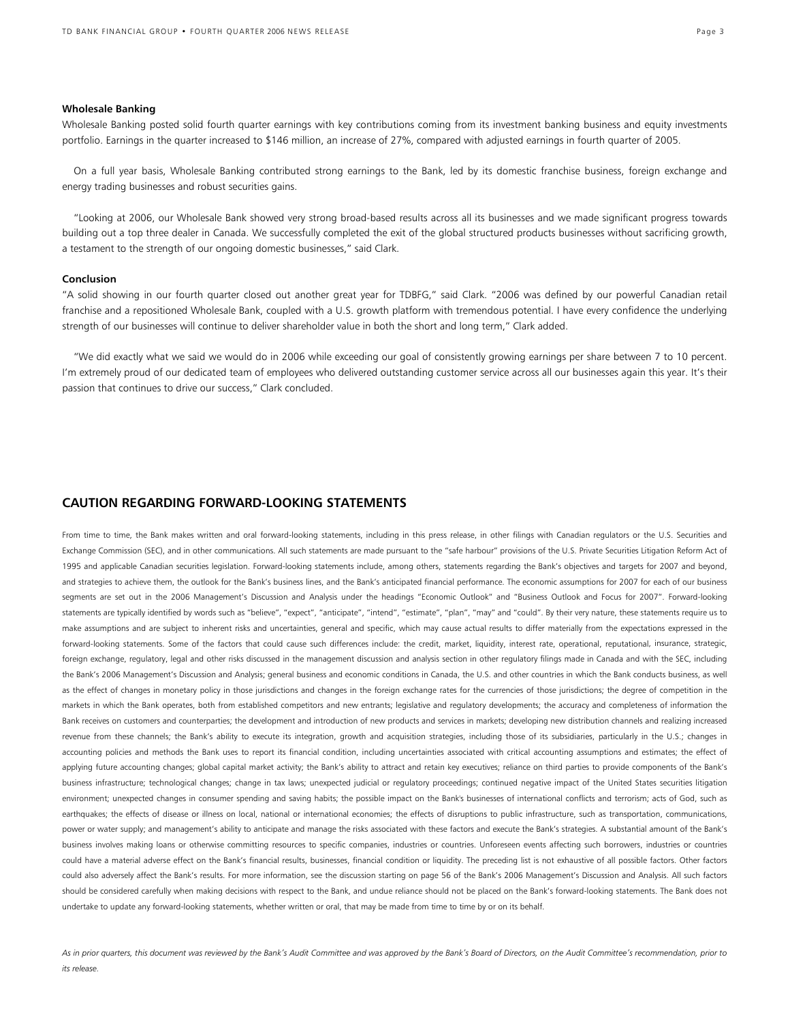#### **Wholesale Banking**

Wholesale Banking posted solid fourth quarter earnings with key contributions coming from its investment banking business and equity investments portfolio. Earnings in the quarter increased to \$146 million, an increase of 27%, compared with adjusted earnings in fourth quarter of 2005.

 On a full year basis, Wholesale Banking contributed strong earnings to the Bank, led by its domestic franchise business, foreign exchange and energy trading businesses and robust securities gains.

 "Looking at 2006, our Wholesale Bank showed very strong broad-based results across all its businesses and we made significant progress towards building out a top three dealer in Canada. We successfully completed the exit of the global structured products businesses without sacrificing growth, a testament to the strength of our ongoing domestic businesses," said Clark.

#### **Conclusion**

"A solid showing in our fourth quarter closed out another great year for TDBFG," said Clark. "2006 was defined by our powerful Canadian retail franchise and a repositioned Wholesale Bank, coupled with a U.S. growth platform with tremendous potential. I have every confidence the underlying strength of our businesses will continue to deliver shareholder value in both the short and long term," Clark added.

"We did exactly what we said we would do in 2006 while exceeding our goal of consistently growing earnings per share between 7 to 10 percent. I'm extremely proud of our dedicated team of employees who delivered outstanding customer service across all our businesses again this year. It's their passion that continues to drive our success," Clark concluded.

## **CAUTION REGARDING FORWARD-LOOKING STATEMENTS**

From time to time, the Bank makes written and oral forward-looking statements, including in this press release, in other filings with Canadian regulators or the U.S. Securities and Exchange Commission (SEC), and in other communications. All such statements are made pursuant to the "safe harbour" provisions of the U.S. Private Securities Litigation Reform Act of 1995 and applicable Canadian securities legislation. Forward-looking statements include, among others, statements regarding the Bank's objectives and targets for 2007 and beyond, and strategies to achieve them, the outlook for the Bank's business lines, and the Bank's anticipated financial performance. The economic assumptions for 2007 for each of our business segments are set out in the 2006 Management's Discussion and Analysis under the headings "Economic Outlook" and "Business Outlook and Focus for 2007". Forward-looking statements are typically identified by words such as "believe", "expect", "anticipate", "intend", "estimate", "plan", "may" and "could". By their very nature, these statements require us to make assumptions and are subject to inherent risks and uncertainties, general and specific, which may cause actual results to differ materially from the expectations expressed in the forward-looking statements. Some of the factors that could cause such differences include: the credit, market, liquidity, interest rate, operational, reputational, insurance, strategic, foreign exchange, regulatory, legal and other risks discussed in the management discussion and analysis section in other regulatory filings made in Canada and with the SEC, including the Bank's 2006 Management's Discussion and Analysis; general business and economic conditions in Canada, the U.S. and other countries in which the Bank conducts business, as well as the effect of changes in monetary policy in those jurisdictions and changes in the foreign exchange rates for the currencies of those jurisdictions; the degree of competition in the markets in which the Bank operates, both from established competitors and new entrants; legislative and regulatory developments; the accuracy and completeness of information the Bank receives on customers and counterparties; the development and introduction of new products and services in markets; developing new distribution channels and realizing increased revenue from these channels; the Bank's ability to execute its integration, growth and acquisition strategies, including those of its subsidiaries, particularly in the U.S.; changes in accounting policies and methods the Bank uses to report its financial condition, including uncertainties associated with critical accounting assumptions and estimates; the effect of applying future accounting changes; global capital market activity; the Bank's ability to attract and retain key executives; reliance on third parties to provide components of the Bank's business infrastructure; technological changes; change in tax laws; unexpected judicial or regulatory proceedings; continued negative impact of the United States securities litigation environment; unexpected changes in consumer spending and saving habits; the possible impact on the Bank's businesses of international conflicts and terrorism; acts of God, such as earthquakes; the effects of disease or illness on local, national or international economies; the effects of disruptions to public infrastructure, such as transportation, communications, power or water supply; and management's ability to anticipate and manage the risks associated with these factors and execute the Bank's strategies. A substantial amount of the Bank's business involves making loans or otherwise committing resources to specific companies, industries or countries. Unforeseen events affecting such borrowers, industries or countries could have a material adverse effect on the Bank's financial results, businesses, financial condition or liquidity. The preceding list is not exhaustive of all possible factors. Other factors could also adversely affect the Bank's results. For more information, see the discussion starting on page 56 of the Bank's 2006 Management's Discussion and Analysis. All such factors should be considered carefully when making decisions with respect to the Bank, and undue reliance should not be placed on the Bank's forward-looking statements. The Bank does not undertake to update any forward-looking statements, whether written or oral, that may be made from time to time by or on its behalf.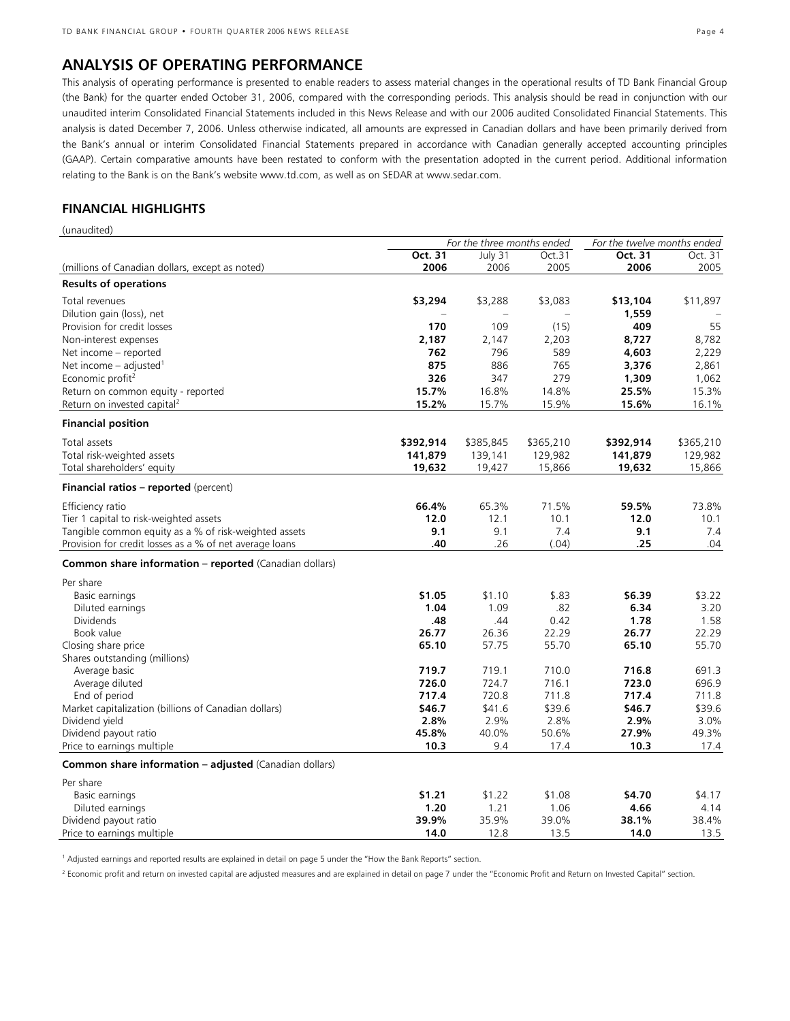# **ANALYSIS OF OPERATING PERFORMANCE**

This analysis of operating performance is presented to enable readers to assess material changes in the operational results of TD Bank Financial Group (the Bank) for the quarter ended October 31, 2006, compared with the corresponding periods. This analysis should be read in conjunction with our unaudited interim Consolidated Financial Statements included in this News Release and with our 2006 audited Consolidated Financial Statements. This analysis is dated December 7, 2006. Unless otherwise indicated, all amounts are expressed in Canadian dollars and have been primarily derived from the Bank's annual or interim Consolidated Financial Statements prepared in accordance with Canadian generally accepted accounting principles (GAAP). Certain comparative amounts have been restated to conform with the presentation adopted in the current period. Additional information relating to the Bank is on the Bank's website www.td.com, as well as on SEDAR at www.sedar.com.

# **FINANCIAL HIGHLIGHTS**

(unaudited)

|                                                         | For the three months ended |           |           | For the twelve months ended |           |
|---------------------------------------------------------|----------------------------|-----------|-----------|-----------------------------|-----------|
|                                                         | Oct. 31                    | July 31   | Oct.31    | Oct. 31                     | Oct. 31   |
| (millions of Canadian dollars, except as noted)         | 2006                       | 2006      | 2005      | 2006                        | 2005      |
| <b>Results of operations</b>                            |                            |           |           |                             |           |
| Total revenues                                          | \$3,294                    | \$3,288   | \$3,083   | \$13,104                    | \$11,897  |
| Dilution gain (loss), net                               |                            |           |           | 1,559                       |           |
| Provision for credit losses                             | 170                        | 109       | (15)      | 409                         | 55        |
| Non-interest expenses                                   | 2,187                      | 2,147     | 2,203     | 8,727                       | 8,782     |
| Net income - reported                                   | 762                        | 796       | 589       | 4,603                       | 2,229     |
| Net income $-$ adjusted <sup>1</sup>                    | 875                        | 886       | 765       | 3,376                       | 2,861     |
| Economic profit <sup>2</sup>                            | 326                        | 347       | 279       | 1,309                       | 1,062     |
| Return on common equity - reported                      | 15.7%                      | 16.8%     | 14.8%     | 25.5%                       | 15.3%     |
| Return on invested capital <sup>2</sup>                 | 15.2%                      | 15.7%     | 15.9%     | 15.6%                       | 16.1%     |
| <b>Financial position</b>                               |                            |           |           |                             |           |
| Total assets                                            | \$392,914                  | \$385,845 | \$365,210 | \$392,914                   | \$365,210 |
| Total risk-weighted assets                              | 141,879                    | 139,141   | 129,982   | 141,879                     | 129,982   |
| Total shareholders' equity                              | 19,632                     | 19,427    | 15,866    | 19,632                      | 15,866    |
| <b>Financial ratios – reported</b> (percent)            |                            |           |           |                             |           |
| Efficiency ratio                                        | 66.4%                      | 65.3%     | 71.5%     | 59.5%                       | 73.8%     |
| Tier 1 capital to risk-weighted assets                  | 12.0                       | 12.1      | 10.1      | 12.0                        | 10.1      |
| Tangible common equity as a % of risk-weighted assets   | 9.1                        | 9.1       | 7.4       | 9.1                         | 7.4       |
| Provision for credit losses as a % of net average loans | .40                        | .26       | (.04)     | .25                         | .04       |
| Common share information - reported (Canadian dollars)  |                            |           |           |                             |           |
| Per share                                               |                            |           |           |                             |           |
| Basic earnings                                          | \$1.05                     | \$1.10    | \$.83     | \$6.39                      | \$3.22    |
| Diluted earnings                                        | 1.04                       | 1.09      | .82       | 6.34                        | 3.20      |
| <b>Dividends</b>                                        | .48                        | .44       | 0.42      | 1.78                        | 1.58      |
| Book value                                              | 26.77                      | 26.36     | 22.29     | 26.77                       | 22.29     |
| Closing share price                                     | 65.10                      | 57.75     | 55.70     | 65.10                       | 55.70     |
| Shares outstanding (millions)                           |                            |           |           |                             |           |
| Average basic                                           | 719.7                      | 719.1     | 710.0     | 716.8                       | 691.3     |
| Average diluted                                         | 726.0                      | 724.7     | 716.1     | 723.0                       | 696.9     |
| End of period                                           | 717.4                      | 720.8     | 711.8     | 717.4                       | 711.8     |
| Market capitalization (billions of Canadian dollars)    | \$46.7                     | \$41.6    | \$39.6    | \$46.7                      | \$39.6    |
| Dividend yield                                          | 2.8%                       | 2.9%      | 2.8%      | 2.9%                        | 3.0%      |
| Dividend payout ratio                                   | 45.8%                      | 40.0%     | 50.6%     | 27.9%                       | 49.3%     |
| Price to earnings multiple                              | 10.3                       | 9.4       | 17.4      | 10.3                        | 17.4      |
| Common share information - adjusted (Canadian dollars)  |                            |           |           |                             |           |
| Per share                                               |                            |           |           |                             |           |
| Basic earnings                                          | \$1.21                     | \$1.22    | \$1.08    | \$4.70                      | \$4.17    |
| Diluted earnings                                        | 1.20                       | 1.21      | 1.06      | 4.66                        | 4.14      |
| Dividend payout ratio                                   | 39.9%                      | 35.9%     | 39.0%     | 38.1%                       | 38.4%     |
| Price to earnings multiple                              | 14.0                       | 12.8      | 13.5      | 14.0                        | 13.5      |

<sup>1</sup> Adjusted earnings and reported results are explained in detail on page 5 under the "How the Bank Reports" section.

<sup>2</sup> Economic profit and return on invested capital are adjusted measures and are explained in detail on page 7 under the "Economic Profit and Return on Invested Capital" section.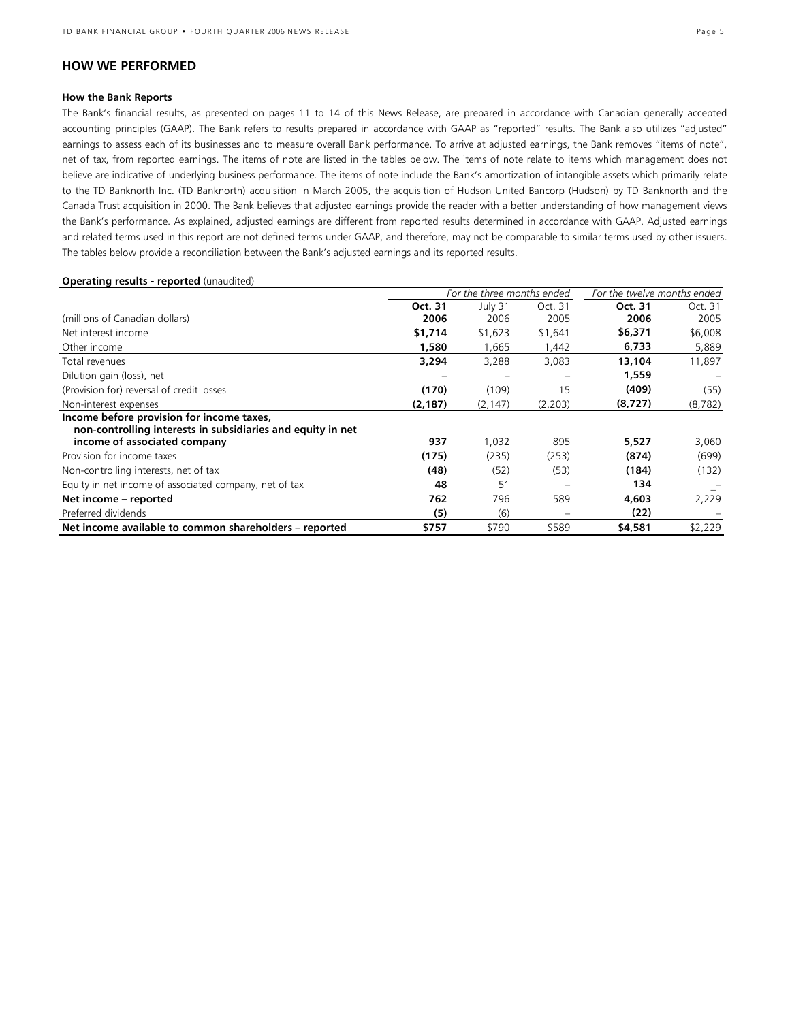## **HOW WE PERFORMED**

#### **How the Bank Reports**

The Bank's financial results, as presented on pages 11 to 14 of this News Release, are prepared in accordance with Canadian generally accepted accounting principles (GAAP). The Bank refers to results prepared in accordance with GAAP as "reported" results. The Bank also utilizes "adjusted" earnings to assess each of its businesses and to measure overall Bank performance. To arrive at adjusted earnings, the Bank removes "items of note", net of tax, from reported earnings. The items of note are listed in the tables below. The items of note relate to items which management does not believe are indicative of underlying business performance. The items of note include the Bank's amortization of intangible assets which primarily relate to the TD Banknorth Inc. (TD Banknorth) acquisition in March 2005, the acquisition of Hudson United Bancorp (Hudson) by TD Banknorth and the Canada Trust acquisition in 2000. The Bank believes that adjusted earnings provide the reader with a better understanding of how management views the Bank's performance. As explained, adjusted earnings are different from reported results determined in accordance with GAAP. Adjusted earnings and related terms used in this report are not defined terms under GAAP, and therefore, may not be comparable to similar terms used by other issuers. The tables below provide a reconciliation between the Bank's adjusted earnings and its reported results.

#### **Operating results - reported** (unaudited)

|                                                             |          | For the three months ended | For the twelve months ended |         |          |
|-------------------------------------------------------------|----------|----------------------------|-----------------------------|---------|----------|
|                                                             | Oct. 31  | July 31                    | Oct. 31                     | Oct. 31 | Oct. 31  |
| (millions of Canadian dollars)                              | 2006     | 2006                       | 2005                        | 2006    | 2005     |
| Net interest income                                         | \$1,714  | \$1,623                    | \$1,641                     | \$6,371 | \$6,008  |
| Other income                                                | 1,580    | 1,665                      | 1,442                       | 6,733   | 5,889    |
| Total revenues                                              | 3,294    | 3,288                      | 3,083                       | 13,104  | 11,897   |
| Dilution gain (loss), net                                   |          |                            |                             | 1,559   |          |
| (Provision for) reversal of credit losses                   | (170)    | (109)                      | 15                          | (409)   | (55)     |
| Non-interest expenses                                       | (2, 187) | (2, 147)                   | (2,203)                     | (8,727) | (8, 782) |
| Income before provision for income taxes,                   |          |                            |                             |         |          |
| non-controlling interests in subsidiaries and equity in net |          |                            |                             |         |          |
| income of associated company                                | 937      | 1,032                      | 895                         | 5,527   | 3,060    |
| Provision for income taxes                                  | (175)    | (235)                      | (253)                       | (874)   | (699)    |
| Non-controlling interests, net of tax                       | (48)     | (52)                       | (53)                        | (184)   | (132)    |
| Equity in net income of associated company, net of tax      | 48       | 51                         |                             | 134     |          |
| Net income - reported                                       | 762      | 796                        | 589                         | 4,603   | 2,229    |
| Preferred dividends                                         | (5)      | (6)                        |                             | (22)    |          |
| Net income available to common shareholders – reported      | \$757    | \$790                      | \$589                       | \$4,581 | \$2,229  |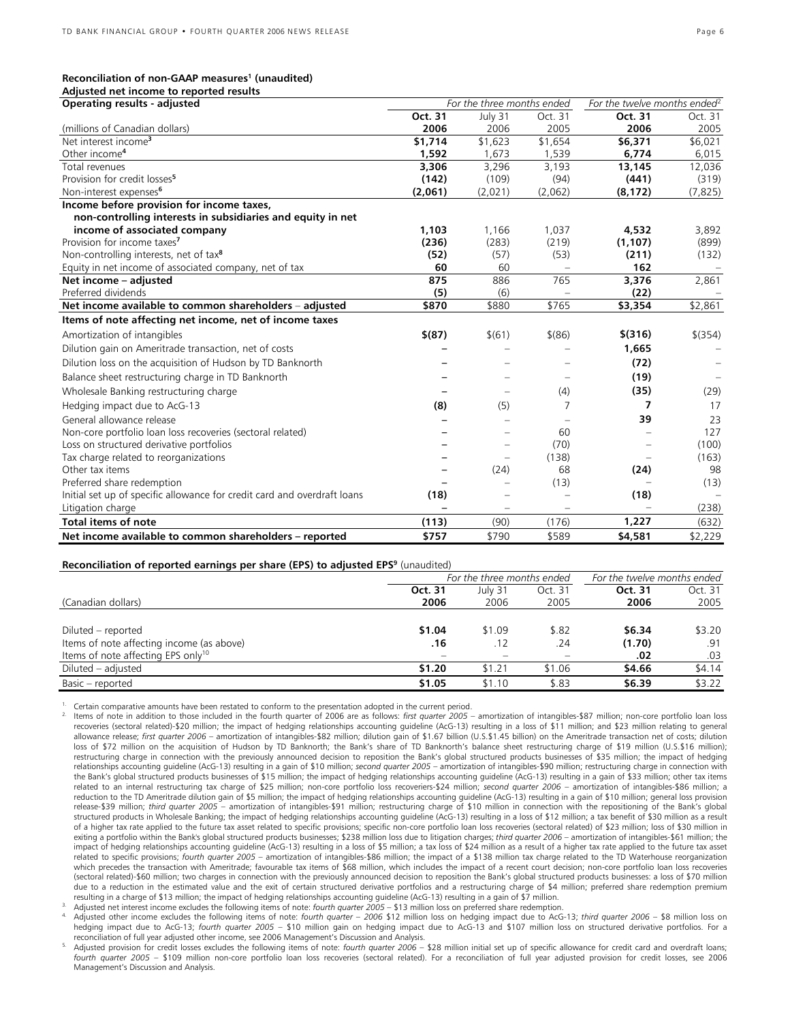**Adjusted net income to reported results** 

| Aujusted Het Income to reported results<br>Operating results - adjusted  |                          | For the three months ended | For the twelve months ended <sup>2</sup> |          |           |
|--------------------------------------------------------------------------|--------------------------|----------------------------|------------------------------------------|----------|-----------|
|                                                                          | Oct. 31                  | July 31                    | Oct. 31                                  | Oct. 31  | Oct. 31   |
| (millions of Canadian dollars)                                           | 2006                     | 2006                       | 2005                                     | 2006     | 2005      |
| Net interest income <sup>3</sup>                                         | \$1,714                  | \$1,623                    | \$1,654                                  | \$6,371  | \$6,021   |
| Other income <sup>4</sup>                                                | 1,592                    | 1,673                      | 1,539                                    | 6,774    | 6,015     |
| Total revenues                                                           | 3,306                    | 3,296                      | 3,193                                    | 13,145   | 12,036    |
| Provision for credit losses <sup>5</sup>                                 | (142)                    | (109)                      | (94)                                     | (441)    | (319)     |
| Non-interest expenses <sup>6</sup>                                       | (2,061)                  | (2,021)                    | (2,062)                                  | (8, 172) | (7, 825)  |
| Income before provision for income taxes,                                |                          |                            |                                          |          |           |
| non-controlling interests in subsidiaries and equity in net              |                          |                            |                                          |          |           |
| income of associated company                                             | 1.103                    | 1,166                      | 1,037                                    | 4,532    | 3,892     |
| Provision for income taxes <sup>7</sup>                                  | (236)                    | (283)                      | (219)                                    | (1, 107) | (899)     |
| Non-controlling interests, net of tax <sup>8</sup>                       | (52)                     | (57)                       | (53)                                     | (211)    | (132)     |
| Equity in net income of associated company, net of tax                   | 60                       | 60                         |                                          | 162      |           |
| Net income - adjusted                                                    | 875                      | 886                        | 765                                      | 3,376    | 2,861     |
| Preferred dividends                                                      | (5)                      | (6)                        |                                          | (22)     |           |
| Net income available to common shareholders - adjusted                   | \$870                    | \$880                      | \$765                                    | \$3,354  | \$2,861   |
| Items of note affecting net income, net of income taxes                  |                          |                            |                                          |          |           |
| Amortization of intangibles                                              | $$^{(87)}$               | \$(61)                     | $$^{(86)}$                               | \$(316)  | $$$ (354) |
| Dilution gain on Ameritrade transaction, net of costs                    |                          |                            |                                          | 1,665    |           |
| Dilution loss on the acquisition of Hudson by TD Banknorth               |                          |                            |                                          | (72)     |           |
| Balance sheet restructuring charge in TD Banknorth                       |                          |                            |                                          | (19)     |           |
| Wholesale Banking restructuring charge                                   |                          |                            | (4)                                      | (35)     | (29)      |
| Hedging impact due to AcG-13                                             | (8)                      | (5)                        | 7                                        | 7        | 17        |
| General allowance release                                                |                          |                            |                                          | 39       | 23        |
| Non-core portfolio loan loss recoveries (sectoral related)               |                          |                            | 60                                       |          | 127       |
| Loss on structured derivative portfolios                                 |                          | -                          | (70)                                     |          | (100)     |
| Tax charge related to reorganizations                                    |                          | $\overline{\phantom{m}}$   | (138)                                    |          | (163)     |
| Other tax items                                                          |                          | (24)                       | 68                                       | (24)     | 98        |
| Preferred share redemption                                               |                          | $\equiv$                   | (13)                                     |          | (13)      |
| Initial set up of specific allowance for credit card and overdraft loans | (18)                     |                            | $\qquad \qquad -$                        | (18)     |           |
| Litigation charge                                                        | $\overline{\phantom{0}}$ | $\qquad \qquad -$          | $\equiv$                                 |          | (238)     |
| <b>Total items of note</b>                                               | (113)                    | (90)                       | (176)                                    | 1,227    | (632)     |
| Net income available to common shareholders - reported                   | \$757                    | \$790                      | \$589                                    | \$4,581  | \$2,229   |

#### **Reconciliation of reported earnings per share (EPS) to adjusted EPS9** (unaudited)

|                                                | For the three months ended | For the twelve months ended |         |         |         |
|------------------------------------------------|----------------------------|-----------------------------|---------|---------|---------|
|                                                | Oct. 31                    | July 31                     | Oct. 31 | Oct. 31 | Oct. 31 |
| (Canadian dollars)                             | 2006                       | 2006                        | 2005    | 2006    | 2005    |
|                                                |                            |                             |         |         |         |
| Diluted – reported                             | \$1.04                     | \$1.09                      | \$.82   | \$6.34  | \$3.20  |
| Items of note affecting income (as above)      | .16                        | .12                         | .24     | (1.70)  | .91     |
| Items of note affecting EPS only <sup>10</sup> |                            |                             |         | .02     | .03     |
| Diluted – adjusted                             | \$1.20                     | \$1.21                      | \$1.06  | \$4.66  | \$4.14  |
| Basic – reported                               | \$1.05                     | \$1.10                      | \$.83   | \$6.39  | \$3.22  |

<sup>1.</sup> Certain comparative amounts have been restated to conform to the presentation adopted in the current period.<br><sup>2.</sup> Items of note in addition to those included in the fourth quarter of 2006 are as follows: first quarter recoveries (sectoral related)-\$20 million; the impact of hedging relationships accounting guideline (AcG-13) resulting in a loss of \$11 million; and \$23 million relating to general allowance release; *first quarter 2006* – amortization of intangibles-\$82 million; dilution gain of \$1.67 billion (U.S.\$1.45 billion) on the Ameritrade transaction net of costs; dilution loss of \$72 million on the acquisition of Hudson by TD Banknorth; the Bank's share of TD Banknorth's balance sheet restructuring charge of \$19 million (U.S.\$16 million); restructuring charge in connection with the previously announced decision to reposition the Bank's global structured products businesses of \$35 million; the impact of hedging relationships accounting guideline (AcG-13) resulting in a gain of \$10 million; *second quarter 2005* – amortization of intangibles-\$90 million; restructuring charge in connection with the Bank's global structured products businesses of \$15 million; the impact of hedging relationships accounting guideline (AcG-13) resulting in a gain of \$33 million; other tax items related to an internal restructuring tax charge of \$25 million; non-core portfolio loss recoveriers-\$24 million; *second quarter 2006* – amortization of intangibles-\$86 million; a reduction to the TD Ameritrade dilution gain of \$5 million; the impact of hedging relationships accounting quideline (AcG-13) resulting in a gain of \$10 million; general loss provision release-\$39 million; *third quarter 2005* – amortization of intangibles-\$91 million; restructuring charge of \$10 million in connection with the repositioning of the Bank's global structured products in Wholesale Banking; the impact of hedging relationships accounting guideline (AcG-13) resulting in a loss of \$12 million; a tax benefit of \$30 million as a result of a higher tax rate applied to the future tax asset related to specific provisions; specific non-core portfolio loan loss recoveries (sectoral related) of \$23 million; loss of \$30 million in exiting a portfolio within the Bank's global structured products businesses; \$238 million loss due to litigation charges; *third quarter 2006* – amortization of intangibles-\$61 million; the impact of hedging relationships accounting guideline (AcG-13) resulting in a loss of \$5 million; a tax loss of \$24 million as a result of a higher tax rate applied to the future tax asset related to specific provisions; *fourth quarter 2005* – amortization of intangibles-\$86 million; the impact of a \$138 million tax charge related to the TD Waterhouse reorganization which precedes the transaction with Ameritrade; favourable tax items of \$68 million, which includes the impact of a recent court decision; non-core portfolio loan loss recoveries (sectoral related)-\$60 million; two charges in connection with the previously announced decision to reposition the Bank's global structured products businesses: a loss of \$70 million due to a reduction in the estimated value and the exit of certain structured derivative portfolios and a restructuring charge of \$4 million; preferred share redemption premium<br>resulting in a charge of \$13 million; the impa

Adjusted net interest income excludes the following items of note: fourth quarter 2005 - \$13 million loss on preferred share redemption.<br>Adjusted other income excludes the following items of note: fourth quarter - 2006 \$12 hedging impact due to AcG-13; *fourth quarter 2005* – \$10 million gain on hedging impact due to AcG-13 and \$107 million loss on structured derivative portfolios. For a

reconciliation of full year adjusted other income, see 2006 Management's Discussion and Analysis.<br>Adjusted provision for credit losses excludes the following items of note: *fourth quarter 2006* – \$28 million initial set u *fourth quarter 2005* – \$109 million non-core portfolio loan loss recoveries (sectoral related). For a reconciliation of full year adjusted provision for credit losses, see 2006 Management's Discussion and Analysis.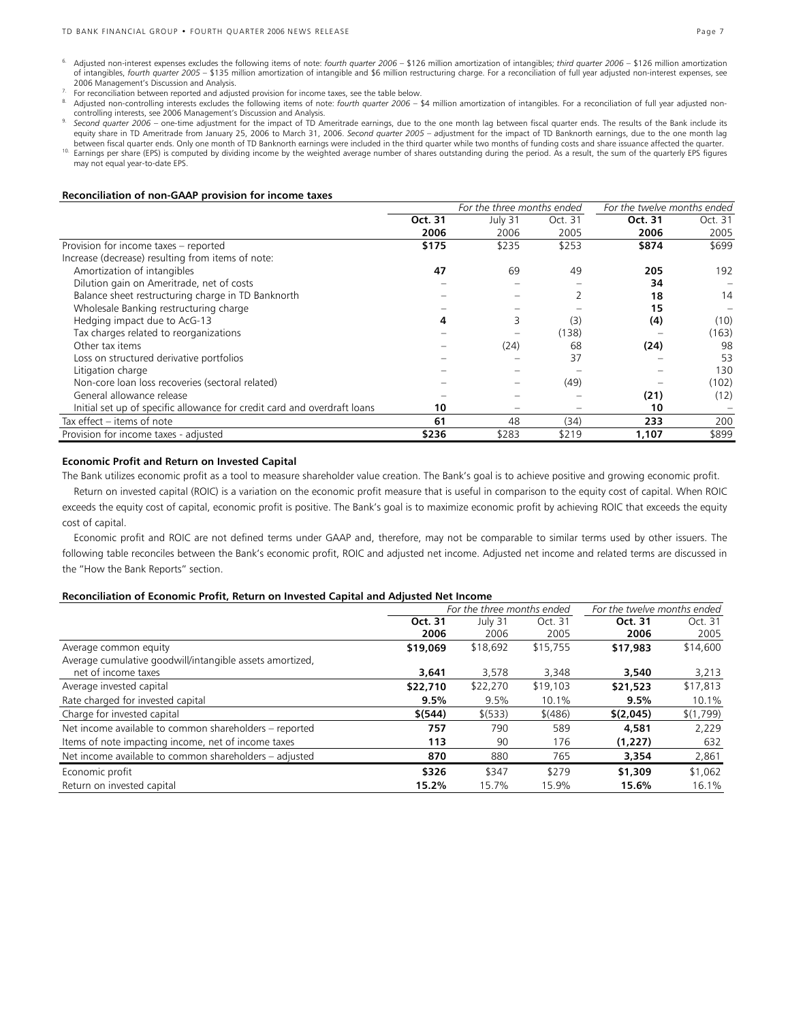- 6. Adjusted non-interest expenses excludes the following items of note: *fourth quarter 2006*  \$126 million amortization of intangibles; *third quarter 2006* \$126 million amortization of intangibles, *fourth quarter 2005* – \$135 million amortization of intangible and \$6 million restructuring charge. For a reconciliation of full year adjusted non-interest expenses, see
- 
- 2006 Management's Discussion and Analysis.<br>For reconciliation between reported and adjusted provision for income taxes, see the table below.<br>Adjusted non-controlling interests excludes the following items of note: *fourth*
- .between fiscal quarter ends. Only one month of TD Banknorth earnings were included in the third quarter while two months of funding costs and share issuance affected the quarter.<br><sup>10.</sup> Earnings per share (EPS) is computed controlling interests, see 2006 Management's Discussion and Analysis.<br><sup>9.</sup> Seco*nd quarter 2006 –* one-time adjustment for the impact of TD Ameritrade earnings, due to the one month lag between fiscal quarter ends. The res
- may not equal year-to-date EPS.

#### **Reconciliation of non-GAAP provision for income taxes**

|                                                                          |         | For the three months ended |         | For the twelve months ended |         |  |
|--------------------------------------------------------------------------|---------|----------------------------|---------|-----------------------------|---------|--|
|                                                                          | Oct. 31 | July 31                    | Oct. 31 | Oct. 31                     | Oct. 31 |  |
|                                                                          | 2006    | 2006                       | 2005    | 2006                        | 2005    |  |
| Provision for income taxes - reported                                    | \$175   | \$235                      | \$253   | \$874                       | \$699   |  |
| Increase (decrease) resulting from items of note:                        |         |                            |         |                             |         |  |
| Amortization of intangibles                                              | 47      | 69                         | 49      | 205                         | 192     |  |
| Dilution gain on Ameritrade, net of costs                                |         |                            |         | 34                          |         |  |
| Balance sheet restructuring charge in TD Banknorth                       |         |                            |         | 18                          | 14      |  |
| Wholesale Banking restructuring charge                                   |         |                            |         | 15                          |         |  |
| Hedging impact due to AcG-13                                             | 4       | 3                          | (3)     | (4)                         | (10)    |  |
| Tax charges related to reorganizations                                   |         |                            | (138)   |                             | (163)   |  |
| Other tax items                                                          |         | (24)                       | 68      | (24)                        | 98      |  |
| Loss on structured derivative portfolios                                 |         |                            | 37      |                             | 53      |  |
| Litigation charge                                                        |         |                            |         |                             | 130     |  |
| Non-core loan loss recoveries (sectoral related)                         |         |                            | (49)    |                             | (102)   |  |
| General allowance release                                                |         |                            |         | (21)                        | (12)    |  |
| Initial set up of specific allowance for credit card and overdraft loans | 10      |                            |         | 10                          |         |  |
| Tax effect – items of note                                               | 61      | 48                         | (34)    | 233                         | 200     |  |
| Provision for income taxes - adjusted                                    | \$236   | \$283                      | \$219   | 1,107                       | \$899   |  |

#### **Economic Profit and Return on Invested Capital**

The Bank utilizes economic profit as a tool to measure shareholder value creation. The Bank's goal is to achieve positive and growing economic profit.

Return on invested capital (ROIC) is a variation on the economic profit measure that is useful in comparison to the equity cost of capital. When ROIC exceeds the equity cost of capital, economic profit is positive. The Bank's goal is to maximize economic profit by achieving ROIC that exceeds the equity cost of capital.

Economic profit and ROIC are not defined terms under GAAP and, therefore, may not be comparable to similar terms used by other issuers. The following table reconciles between the Bank's economic profit, ROIC and adjusted net income. Adjusted net income and related terms are discussed in the "How the Bank Reports" section.

#### **Reconciliation of Economic Profit, Return on Invested Capital and Adjusted Net Income**

|                                                          |          | For the three months ended |          | For the twelve months ended |           |  |
|----------------------------------------------------------|----------|----------------------------|----------|-----------------------------|-----------|--|
|                                                          | Oct. 31  | July 31                    | Oct. 31  | Oct. 31                     | Oct. 31   |  |
|                                                          | 2006     | 2006                       | 2005     | 2006                        | 2005      |  |
| Average common equity                                    | \$19,069 | \$18,692                   | \$15,755 | \$17,983                    | \$14,600  |  |
| Average cumulative goodwill/intangible assets amortized, |          |                            |          |                             |           |  |
| net of income taxes                                      | 3,641    | 3,578                      | 3,348    | 3,540                       | 3,213     |  |
| Average invested capital                                 | \$22,710 | \$22,270                   | \$19,103 | \$21,523                    | \$17,813  |  |
| Rate charged for invested capital                        | 9.5%     | 9.5%                       | 10.1%    | 9.5%                        | 10.1%     |  |
| Charge for invested capital                              | \$(544)  | \$ (533)                   | \$(486)  | \$(2,045)                   | \$(1,799) |  |
| Net income available to common shareholders - reported   | 757      | 790                        | 589      | 4,581                       | 2,229     |  |
| Items of note impacting income, net of income taxes      | 113      | 90                         | 176      | (1,227)                     | 632       |  |
| Net income available to common shareholders - adjusted   | 870      | 880                        | 765      | 3,354                       | 2,861     |  |
| Economic profit                                          | \$326    | \$347                      | \$279    | \$1,309                     | \$1,062   |  |
| Return on invested capital                               | 15.2%    | 15.7%                      | 15.9%    | 15.6%                       | 16.1%     |  |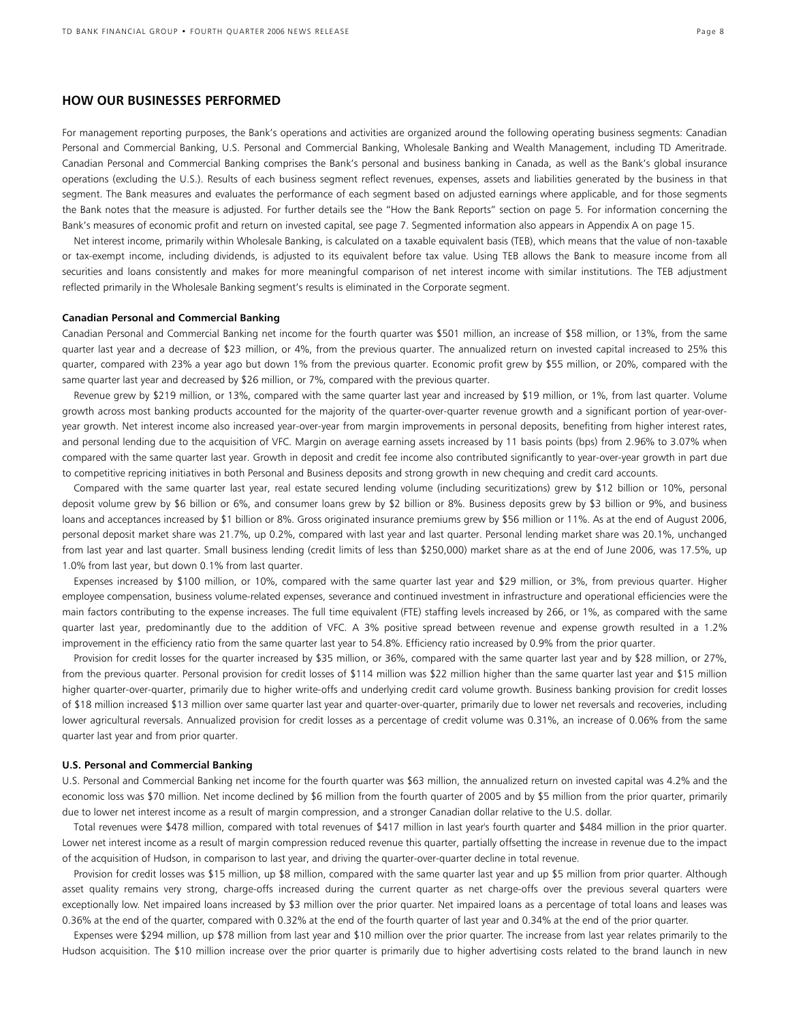## **HOW OUR BUSINESSES PERFORMED**

For management reporting purposes, the Bank's operations and activities are organized around the following operating business segments: Canadian Personal and Commercial Banking, U.S. Personal and Commercial Banking, Wholesale Banking and Wealth Management, including TD Ameritrade. Canadian Personal and Commercial Banking comprises the Bank's personal and business banking in Canada, as well as the Bank's global insurance operations (excluding the U.S.). Results of each business segment reflect revenues, expenses, assets and liabilities generated by the business in that segment. The Bank measures and evaluates the performance of each segment based on adjusted earnings where applicable, and for those segments the Bank notes that the measure is adjusted. For further details see the "How the Bank Reports" section on page 5. For information concerning the Bank's measures of economic profit and return on invested capital, see page 7. Segmented information also appears in Appendix A on page 15.

Net interest income, primarily within Wholesale Banking, is calculated on a taxable equivalent basis (TEB), which means that the value of non-taxable or tax-exempt income, including dividends, is adjusted to its equivalent before tax value. Using TEB allows the Bank to measure income from all securities and loans consistently and makes for more meaningful comparison of net interest income with similar institutions. The TEB adjustment reflected primarily in the Wholesale Banking segment's results is eliminated in the Corporate segment.

#### **Canadian Personal and Commercial Banking**

Canadian Personal and Commercial Banking net income for the fourth quarter was \$501 million, an increase of \$58 million, or 13%, from the same quarter last year and a decrease of \$23 million, or 4%, from the previous quarter. The annualized return on invested capital increased to 25% this quarter, compared with 23% a year ago but down 1% from the previous quarter. Economic profit grew by \$55 million, or 20%, compared with the same quarter last year and decreased by \$26 million, or 7%, compared with the previous quarter.

Revenue grew by \$219 million, or 13%, compared with the same quarter last year and increased by \$19 million, or 1%, from last quarter. Volume growth across most banking products accounted for the majority of the quarter-over-quarter revenue growth and a significant portion of year-overyear growth. Net interest income also increased year-over-year from margin improvements in personal deposits, benefiting from higher interest rates, and personal lending due to the acquisition of VFC. Margin on average earning assets increased by 11 basis points (bps) from 2.96% to 3.07% when compared with the same quarter last year. Growth in deposit and credit fee income also contributed significantly to year-over-year growth in part due to competitive repricing initiatives in both Personal and Business deposits and strong growth in new chequing and credit card accounts.

Compared with the same quarter last year, real estate secured lending volume (including securitizations) grew by \$12 billion or 10%, personal deposit volume grew by \$6 billion or 6%, and consumer loans grew by \$2 billion or 8%. Business deposits grew by \$3 billion or 9%, and business loans and acceptances increased by \$1 billion or 8%. Gross originated insurance premiums grew by \$56 million or 11%. As at the end of August 2006, personal deposit market share was 21.7%, up 0.2%, compared with last year and last quarter. Personal lending market share was 20.1%, unchanged from last year and last quarter. Small business lending (credit limits of less than \$250,000) market share as at the end of June 2006, was 17.5%, up 1.0% from last year, but down 0.1% from last quarter.

Expenses increased by \$100 million, or 10%, compared with the same quarter last year and \$29 million, or 3%, from previous quarter. Higher employee compensation, business volume-related expenses, severance and continued investment in infrastructure and operational efficiencies were the main factors contributing to the expense increases. The full time equivalent (FTE) staffing levels increased by 266, or 1%, as compared with the same quarter last year, predominantly due to the addition of VFC. A 3% positive spread between revenue and expense growth resulted in a 1.2% improvement in the efficiency ratio from the same quarter last year to 54.8%. Efficiency ratio increased by 0.9% from the prior quarter.

Provision for credit losses for the quarter increased by \$35 million, or 36%, compared with the same quarter last year and by \$28 million, or 27%, from the previous quarter. Personal provision for credit losses of \$114 million was \$22 million higher than the same quarter last year and \$15 million higher quarter-over-quarter, primarily due to higher write-offs and underlying credit card volume growth. Business banking provision for credit losses of \$18 million increased \$13 million over same quarter last year and quarter-over-quarter, primarily due to lower net reversals and recoveries, including lower agricultural reversals. Annualized provision for credit losses as a percentage of credit volume was 0.31%, an increase of 0.06% from the same quarter last year and from prior quarter.

#### **U.S. Personal and Commercial Banking**

U.S. Personal and Commercial Banking net income for the fourth quarter was \$63 million, the annualized return on invested capital was 4.2% and the economic loss was \$70 million. Net income declined by \$6 million from the fourth quarter of 2005 and by \$5 million from the prior quarter, primarily due to lower net interest income as a result of margin compression, and a stronger Canadian dollar relative to the U.S. dollar.

 Total revenues were \$478 million, compared with total revenues of \$417 million in last year's fourth quarter and \$484 million in the prior quarter. Lower net interest income as a result of margin compression reduced revenue this quarter, partially offsetting the increase in revenue due to the impact of the acquisition of Hudson, in comparison to last year, and driving the quarter-over-quarter decline in total revenue.

 Provision for credit losses was \$15 million, up \$8 million, compared with the same quarter last year and up \$5 million from prior quarter. Although asset quality remains very strong, charge-offs increased during the current quarter as net charge-offs over the previous several quarters were exceptionally low. Net impaired loans increased by \$3 million over the prior quarter. Net impaired loans as a percentage of total loans and leases was 0.36% at the end of the quarter, compared with 0.32% at the end of the fourth quarter of last year and 0.34% at the end of the prior quarter.

 Expenses were \$294 million, up \$78 million from last year and \$10 million over the prior quarter. The increase from last year relates primarily to the Hudson acquisition. The \$10 million increase over the prior quarter is primarily due to higher advertising costs related to the brand launch in new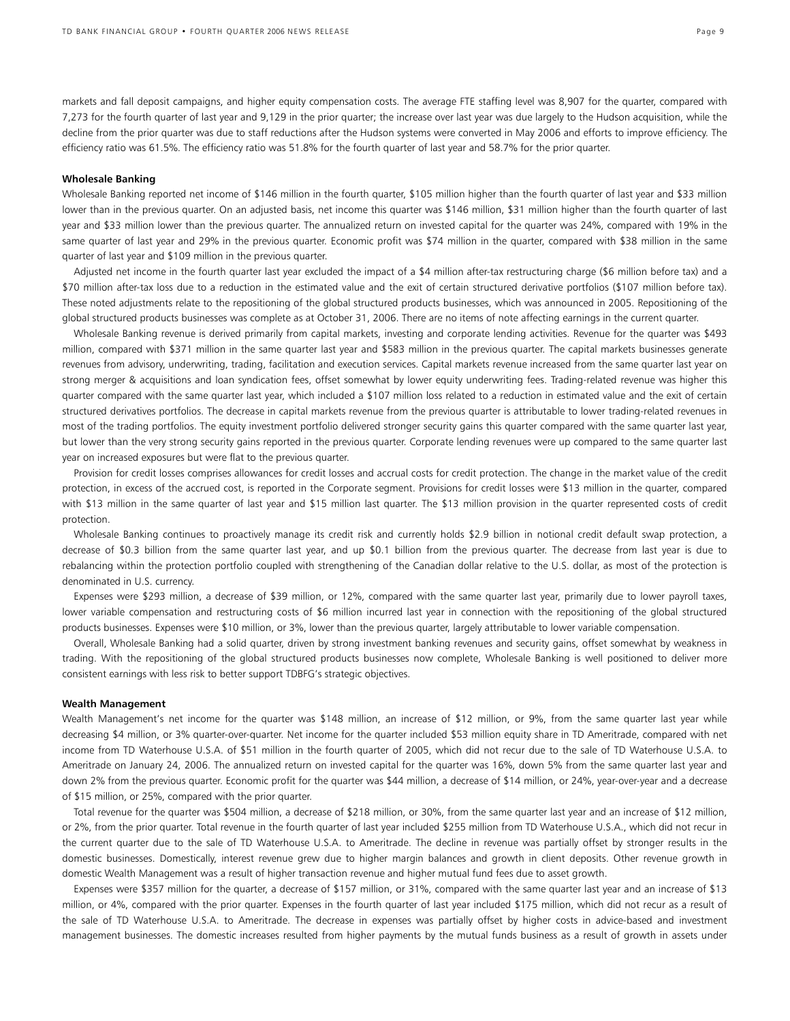markets and fall deposit campaigns, and higher equity compensation costs. The average FTE staffing level was 8,907 for the quarter, compared with 7,273 for the fourth quarter of last year and 9,129 in the prior quarter; the increase over last year was due largely to the Hudson acquisition, while the decline from the prior quarter was due to staff reductions after the Hudson systems were converted in May 2006 and efforts to improve efficiency. The efficiency ratio was 61.5%. The efficiency ratio was 51.8% for the fourth quarter of last year and 58.7% for the prior quarter.

#### **Wholesale Banking**

Wholesale Banking reported net income of \$146 million in the fourth quarter, \$105 million higher than the fourth quarter of last year and \$33 million lower than in the previous quarter. On an adjusted basis, net income this quarter was \$146 million, \$31 million higher than the fourth quarter of last year and \$33 million lower than the previous quarter. The annualized return on invested capital for the quarter was 24%, compared with 19% in the same quarter of last year and 29% in the previous quarter. Economic profit was \$74 million in the quarter, compared with \$38 million in the same quarter of last year and \$109 million in the previous quarter.

 Adjusted net income in the fourth quarter last year excluded the impact of a \$4 million after-tax restructuring charge (\$6 million before tax) and a \$70 million after-tax loss due to a reduction in the estimated value and the exit of certain structured derivative portfolios (\$107 million before tax). These noted adjustments relate to the repositioning of the global structured products businesses, which was announced in 2005. Repositioning of the global structured products businesses was complete as at October 31, 2006. There are no items of note affecting earnings in the current quarter.

 Wholesale Banking revenue is derived primarily from capital markets, investing and corporate lending activities. Revenue for the quarter was \$493 million, compared with \$371 million in the same quarter last year and \$583 million in the previous quarter. The capital markets businesses generate revenues from advisory, underwriting, trading, facilitation and execution services. Capital markets revenue increased from the same quarter last year on strong merger & acquisitions and loan syndication fees, offset somewhat by lower equity underwriting fees. Trading-related revenue was higher this quarter compared with the same quarter last year, which included a \$107 million loss related to a reduction in estimated value and the exit of certain structured derivatives portfolios. The decrease in capital markets revenue from the previous quarter is attributable to lower trading-related revenues in most of the trading portfolios. The equity investment portfolio delivered stronger security gains this quarter compared with the same quarter last year, but lower than the very strong security gains reported in the previous quarter. Corporate lending revenues were up compared to the same quarter last year on increased exposures but were flat to the previous quarter.

 Provision for credit losses comprises allowances for credit losses and accrual costs for credit protection. The change in the market value of the credit protection, in excess of the accrued cost, is reported in the Corporate segment. Provisions for credit losses were \$13 million in the quarter, compared with \$13 million in the same quarter of last year and \$15 million last quarter. The \$13 million provision in the quarter represented costs of credit protection.

Wholesale Banking continues to proactively manage its credit risk and currently holds \$2.9 billion in notional credit default swap protection, a decrease of \$0.3 billion from the same quarter last year, and up \$0.1 billion from the previous quarter. The decrease from last year is due to rebalancing within the protection portfolio coupled with strengthening of the Canadian dollar relative to the U.S. dollar, as most of the protection is denominated in U.S. currency.

 Expenses were \$293 million, a decrease of \$39 million, or 12%, compared with the same quarter last year, primarily due to lower payroll taxes, lower variable compensation and restructuring costs of \$6 million incurred last year in connection with the repositioning of the global structured products businesses. Expenses were \$10 million, or 3%, lower than the previous quarter, largely attributable to lower variable compensation.

 Overall, Wholesale Banking had a solid quarter, driven by strong investment banking revenues and security gains, offset somewhat by weakness in trading. With the repositioning of the global structured products businesses now complete, Wholesale Banking is well positioned to deliver more consistent earnings with less risk to better support TDBFG's strategic objectives.

#### **Wealth Management**

Wealth Management's net income for the quarter was \$148 million, an increase of \$12 million, or 9%, from the same quarter last year while decreasing \$4 million, or 3% quarter-over-quarter. Net income for the quarter included \$53 million equity share in TD Ameritrade, compared with net income from TD Waterhouse U.S.A. of \$51 million in the fourth quarter of 2005, which did not recur due to the sale of TD Waterhouse U.S.A. to Ameritrade on January 24, 2006. The annualized return on invested capital for the quarter was 16%, down 5% from the same quarter last year and down 2% from the previous quarter. Economic profit for the quarter was \$44 million, a decrease of \$14 million, or 24%, year-over-year and a decrease of \$15 million, or 25%, compared with the prior quarter.

 Total revenue for the quarter was \$504 million, a decrease of \$218 million, or 30%, from the same quarter last year and an increase of \$12 million, or 2%, from the prior quarter. Total revenue in the fourth quarter of last year included \$255 million from TD Waterhouse U.S.A., which did not recur in the current quarter due to the sale of TD Waterhouse U.S.A. to Ameritrade. The decline in revenue was partially offset by stronger results in the domestic businesses. Domestically, interest revenue grew due to higher margin balances and growth in client deposits. Other revenue growth in domestic Wealth Management was a result of higher transaction revenue and higher mutual fund fees due to asset growth.

 Expenses were \$357 million for the quarter, a decrease of \$157 million, or 31%, compared with the same quarter last year and an increase of \$13 million, or 4%, compared with the prior quarter. Expenses in the fourth quarter of last year included \$175 million, which did not recur as a result of the sale of TD Waterhouse U.S.A. to Ameritrade. The decrease in expenses was partially offset by higher costs in advice-based and investment management businesses. The domestic increases resulted from higher payments by the mutual funds business as a result of growth in assets under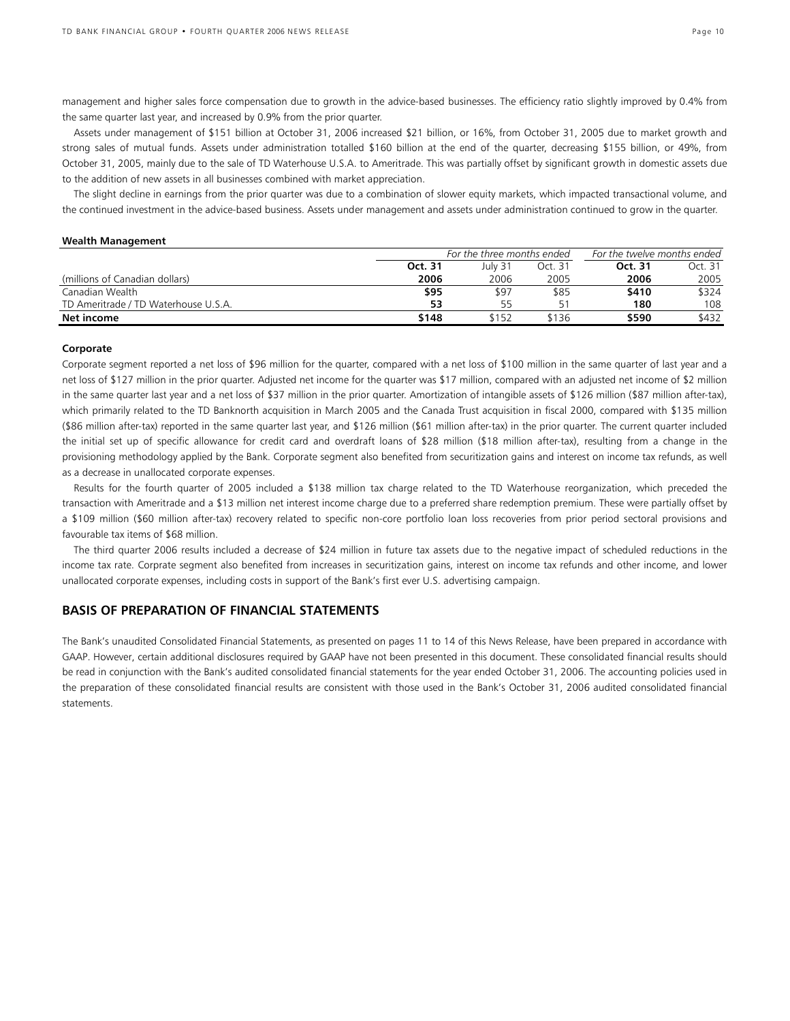management and higher sales force compensation due to growth in the advice-based businesses. The efficiency ratio slightly improved by 0.4% from the same quarter last year, and increased by 0.9% from the prior quarter.

 Assets under management of \$151 billion at October 31, 2006 increased \$21 billion, or 16%, from October 31, 2005 due to market growth and strong sales of mutual funds. Assets under administration totalled \$160 billion at the end of the quarter, decreasing \$155 billion, or 49%, from October 31, 2005, mainly due to the sale of TD Waterhouse U.S.A. to Ameritrade. This was partially offset by significant growth in domestic assets due to the addition of new assets in all businesses combined with market appreciation.

 The slight decline in earnings from the prior quarter was due to a combination of slower equity markets, which impacted transactional volume, and the continued investment in the advice-based business. Assets under management and assets under administration continued to grow in the quarter.

#### **Wealth Management**

|                                      | For the three months ended |         |         | For the twelve months ended |         |  |
|--------------------------------------|----------------------------|---------|---------|-----------------------------|---------|--|
|                                      | Oct. 31                    | Julv 31 | Oct. 31 | Oct. 31                     | Oct. 31 |  |
| (millions of Canadian dollars)       | 2006                       | 2006    | 2005    | 2006                        | 2005    |  |
| Canadian Wealth                      | \$95                       | \$97    | \$85    | \$410                       | \$324   |  |
| TD Ameritrade / TD Waterhouse U.S.A. | 53                         | 55      | ς.      | 180                         | 108     |  |
| Net income                           | \$148                      | 5152    | \$136   | \$590                       | \$432   |  |

#### **Corporate**

Corporate segment reported a net loss of \$96 million for the quarter, compared with a net loss of \$100 million in the same quarter of last year and a net loss of \$127 million in the prior quarter. Adjusted net income for the quarter was \$17 million, compared with an adjusted net income of \$2 million in the same quarter last year and a net loss of \$37 million in the prior quarter. Amortization of intangible assets of \$126 million (\$87 million after-tax), which primarily related to the TD Banknorth acquisition in March 2005 and the Canada Trust acquisition in fiscal 2000, compared with \$135 million (\$86 million after-tax) reported in the same quarter last year, and \$126 million (\$61 million after-tax) in the prior quarter. The current quarter included the initial set up of specific allowance for credit card and overdraft loans of \$28 million (\$18 million after-tax), resulting from a change in the provisioning methodology applied by the Bank. Corporate segment also benefited from securitization gains and interest on income tax refunds, as well as a decrease in unallocated corporate expenses.

 Results for the fourth quarter of 2005 included a \$138 million tax charge related to the TD Waterhouse reorganization, which preceded the transaction with Ameritrade and a \$13 million net interest income charge due to a preferred share redemption premium. These were partially offset by a \$109 million (\$60 million after-tax) recovery related to specific non-core portfolio loan loss recoveries from prior period sectoral provisions and favourable tax items of \$68 million.

The third quarter 2006 results included a decrease of \$24 million in future tax assets due to the negative impact of scheduled reductions in the income tax rate. Corprate segment also benefited from increases in securitization gains, interest on income tax refunds and other income, and lower unallocated corporate expenses, including costs in support of the Bank's first ever U.S. advertising campaign.

# **BASIS OF PREPARATION OF FINANCIAL STATEMENTS**

The Bank's unaudited Consolidated Financial Statements, as presented on pages 11 to 14 of this News Release, have been prepared in accordance with GAAP. However, certain additional disclosures required by GAAP have not been presented in this document. These consolidated financial results should be read in conjunction with the Bank's audited consolidated financial statements for the year ended October 31, 2006. The accounting policies used in the preparation of these consolidated financial results are consistent with those used in the Bank's October 31, 2006 audited consolidated financial statements.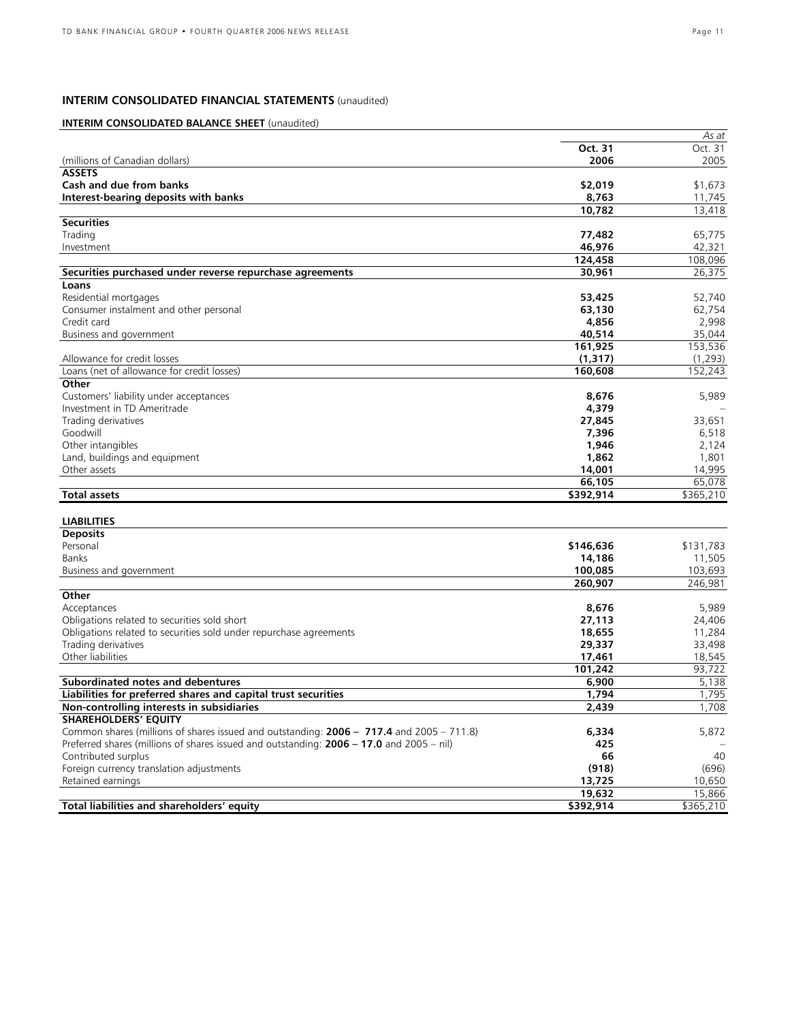# **INTERIM CONSOLIDATED FINANCIAL STATEMENTS** (unaudited)

# **INTERIM CONSOLIDATED BALANCE SHEET** (unaudited)

|                                                                                          |           | As at     |
|------------------------------------------------------------------------------------------|-----------|-----------|
|                                                                                          | Oct. 31   | Oct. 31   |
| (millions of Canadian dollars)                                                           | 2006      | 2005      |
| <b>ASSETS</b>                                                                            |           |           |
| Cash and due from banks                                                                  | \$2,019   | \$1,673   |
| Interest-bearing deposits with banks                                                     | 8,763     | 11,745    |
|                                                                                          | 10,782    | 13,418    |
| <b>Securities</b>                                                                        |           |           |
| Trading                                                                                  | 77,482    | 65,775    |
| Investment                                                                               | 46,976    | 42,321    |
|                                                                                          |           |           |
|                                                                                          | 124,458   | 108,096   |
| Securities purchased under reverse repurchase agreements                                 | 30,961    | 26,375    |
| Loans                                                                                    |           |           |
| Residential mortgages                                                                    | 53,425    | 52,740    |
| Consumer instalment and other personal                                                   | 63,130    | 62,754    |
| Credit card                                                                              | 4,856     | 2,998     |
| Business and government                                                                  | 40,514    | 35,044    |
|                                                                                          | 161,925   | 153,536   |
| Allowance for credit losses                                                              | (1, 317)  | (1, 293)  |
| Loans (net of allowance for credit losses)                                               | 160,608   | 152,243   |
| Other                                                                                    |           |           |
| Customers' liability under acceptances                                                   | 8,676     | 5,989     |
| Investment in TD Ameritrade                                                              | 4,379     |           |
| Trading derivatives                                                                      |           |           |
|                                                                                          | 27,845    | 33,651    |
| Goodwill                                                                                 | 7,396     | 6,518     |
| Other intangibles                                                                        | 1,946     | 2,124     |
| Land, buildings and equipment                                                            | 1,862     | 1,801     |
| Other assets                                                                             | 14,001    | 14,995    |
|                                                                                          | 66,105    | 65,078    |
| <b>Total assets</b>                                                                      | \$392,914 | \$365,210 |
|                                                                                          |           |           |
| <b>LIABILITIES</b>                                                                       |           |           |
| <b>Deposits</b>                                                                          |           |           |
| Personal                                                                                 | \$146,636 | \$131,783 |
| <b>Banks</b>                                                                             | 14,186    | 11,505    |
| Business and government                                                                  | 100,085   | 103,693   |
|                                                                                          | 260,907   | 246,981   |
| Other                                                                                    |           |           |
| Acceptances                                                                              | 8,676     | 5,989     |
|                                                                                          |           |           |
| Obligations related to securities sold short                                             | 27,113    | 24,406    |
| Obligations related to securities sold under repurchase agreements                       | 18,655    | 11,284    |
| Trading derivatives                                                                      | 29,337    | 33,498    |
| Other liabilities                                                                        | 17,461    | 18,545    |
|                                                                                          | 101,242   | 93,722    |
| Subordinated notes and debentures                                                        | 6,900     | 5,138     |
| Liabilities for preferred shares and capital trust securities                            | 1,794     | 1,795     |
| Non-controlling interests in subsidiaries                                                | 2,439     | 1,708     |
| <b>SHAREHOLDERS' EQUITY</b>                                                              |           |           |
| Common shares (millions of shares issued and outstanding: 2006 - 717.4 and 2005 - 711.8) | 6,334     | 5,872     |
| Preferred shares (millions of shares issued and outstanding: 2006 - 17.0 and 2005 - nil) | 425       |           |
| Contributed surplus                                                                      | 66        | 40        |
| Foreign currency translation adjustments                                                 | (918)     | (696)     |
| Retained earnings                                                                        | 13,725    | 10,650    |
|                                                                                          | 19,632    | 15,866    |
|                                                                                          |           |           |
| Total liabilities and shareholders' equity                                               | \$392,914 | \$365,210 |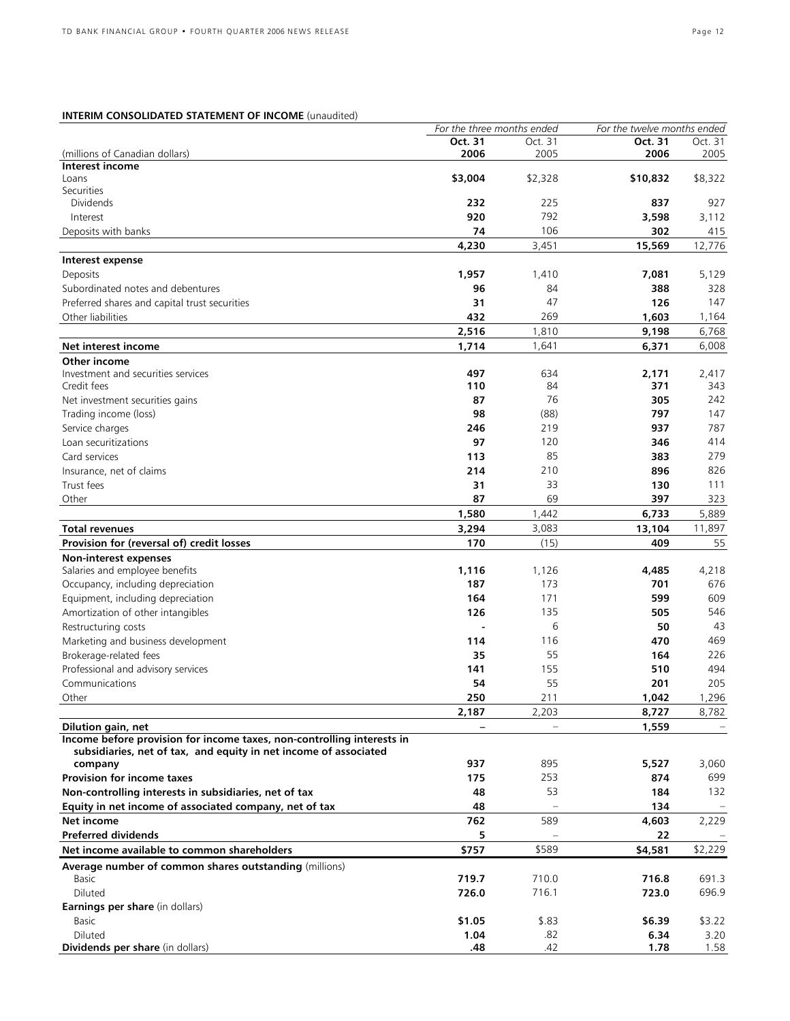# **INTERIM CONSOLIDATED STATEMENT OF INCOME** (unaudited)

|                                                                                              | For the three months ended |         | For the twelve months ended |         |
|----------------------------------------------------------------------------------------------|----------------------------|---------|-----------------------------|---------|
|                                                                                              | Oct. 31                    | Oct. 31 | Oct. 31                     | Oct. 31 |
| (millions of Canadian dollars)                                                               | 2006                       | 2005    | 2006                        | 2005    |
| Interest income                                                                              |                            |         |                             |         |
| Loans                                                                                        | \$3,004                    | \$2,328 | \$10,832                    | \$8,322 |
| Securities<br><b>Dividends</b>                                                               | 232                        |         | 837                         |         |
|                                                                                              |                            | 225     |                             | 927     |
| Interest                                                                                     | 920                        | 792     | 3,598                       | 3,112   |
| Deposits with banks                                                                          | 74                         | 106     | 302                         | 415     |
|                                                                                              | 4,230                      | 3,451   | 15,569                      | 12,776  |
| Interest expense                                                                             |                            |         |                             |         |
| Deposits                                                                                     | 1,957                      | 1,410   | 7,081                       | 5,129   |
| Subordinated notes and debentures                                                            | 96                         | 84      | 388                         | 328     |
| Preferred shares and capital trust securities                                                | 31                         | 47      | 126                         | 147     |
| Other liabilities                                                                            | 432                        | 269     | 1,603                       | 1,164   |
|                                                                                              | 2,516                      | 1,810   | 9,198                       | 6,768   |
| Net interest income                                                                          | 1,714                      | 1,641   | 6,371                       | 6,008   |
| Other income                                                                                 |                            |         |                             |         |
| Investment and securities services                                                           | 497                        | 634     | 2,171                       | 2,417   |
| Credit fees                                                                                  | 110                        | 84      | 371                         | 343     |
| Net investment securities gains                                                              | 87                         | 76      | 305                         | 242     |
|                                                                                              | 98                         |         | 797                         | 147     |
| Trading income (loss)                                                                        |                            | (88)    |                             |         |
| Service charges                                                                              | 246                        | 219     | 937                         | 787     |
| Loan securitizations                                                                         | 97                         | 120     | 346                         | 414     |
| Card services                                                                                | 113                        | 85      | 383                         | 279     |
| Insurance, net of claims                                                                     | 214                        | 210     | 896                         | 826     |
| Trust fees                                                                                   | 31                         | 33      | 130                         | 111     |
| Other                                                                                        | 87                         | 69      | 397                         | 323     |
|                                                                                              | 1,580                      | 1,442   | 6,733                       | 5,889   |
| <b>Total revenues</b>                                                                        | 3,294                      | 3,083   | 13,104                      | 11,897  |
| Provision for (reversal of) credit losses                                                    | 170                        | (15)    | 409                         | 55      |
|                                                                                              |                            |         |                             |         |
| Non-interest expenses                                                                        | 1,116                      | 1,126   | 4,485                       |         |
| Salaries and employee benefits                                                               |                            |         |                             | 4,218   |
| Occupancy, including depreciation                                                            | 187                        | 173     | 701                         | 676     |
| Equipment, including depreciation                                                            | 164                        | 171     | 599                         | 609     |
| Amortization of other intangibles                                                            | 126                        | 135     | 505                         | 546     |
| Restructuring costs                                                                          |                            | 6       | 50                          | 43      |
| Marketing and business development                                                           | 114                        | 116     | 470                         | 469     |
| Brokerage-related fees                                                                       | 35                         | 55      | 164                         | 226     |
| Professional and advisory services                                                           | 141                        | 155     | 510                         | 494     |
| Communications                                                                               | 54                         | 55      | 201                         | 205     |
| Other                                                                                        | 250                        | 211     | 1.042                       | 1,296   |
|                                                                                              | 2,187                      | 2,203   | 8,727                       | 8,782   |
|                                                                                              |                            |         |                             |         |
| Dilution gain, net<br>Income before provision for income taxes, non-controlling interests in |                            |         | 1,559                       |         |
| subsidiaries, net of tax, and equity in net income of associated                             |                            |         |                             |         |
| company                                                                                      | 937                        | 895     | 5,527                       | 3,060   |
| <b>Provision for income taxes</b>                                                            | 175                        | 253     | 874                         | 699     |
|                                                                                              |                            |         |                             |         |
| Non-controlling interests in subsidiaries, net of tax                                        | 48                         | 53      | 184                         | 132     |
| Equity in net income of associated company, net of tax                                       | 48                         |         | 134                         |         |
| Net income                                                                                   | 762                        | 589     | 4,603                       | 2,229   |
| <b>Preferred dividends</b>                                                                   | 5                          |         | 22                          |         |
| Net income available to common shareholders                                                  | \$757                      | \$589   | \$4,581                     | \$2,229 |
| Average number of common shares outstanding (millions)                                       |                            |         |                             |         |
| Basic                                                                                        | 719.7                      | 710.0   | 716.8                       | 691.3   |
| Diluted                                                                                      | 726.0                      | 716.1   | 723.0                       | 696.9   |
| Earnings per share (in dollars)                                                              |                            |         |                             |         |
| Basic                                                                                        | \$1.05                     | \$.83   | \$6.39                      | \$3.22  |
| Diluted                                                                                      | 1.04                       | .82     | 6.34                        | 3.20    |
| Dividends per share (in dollars)                                                             | .48                        | .42     | 1.78                        | 1.58    |
|                                                                                              |                            |         |                             |         |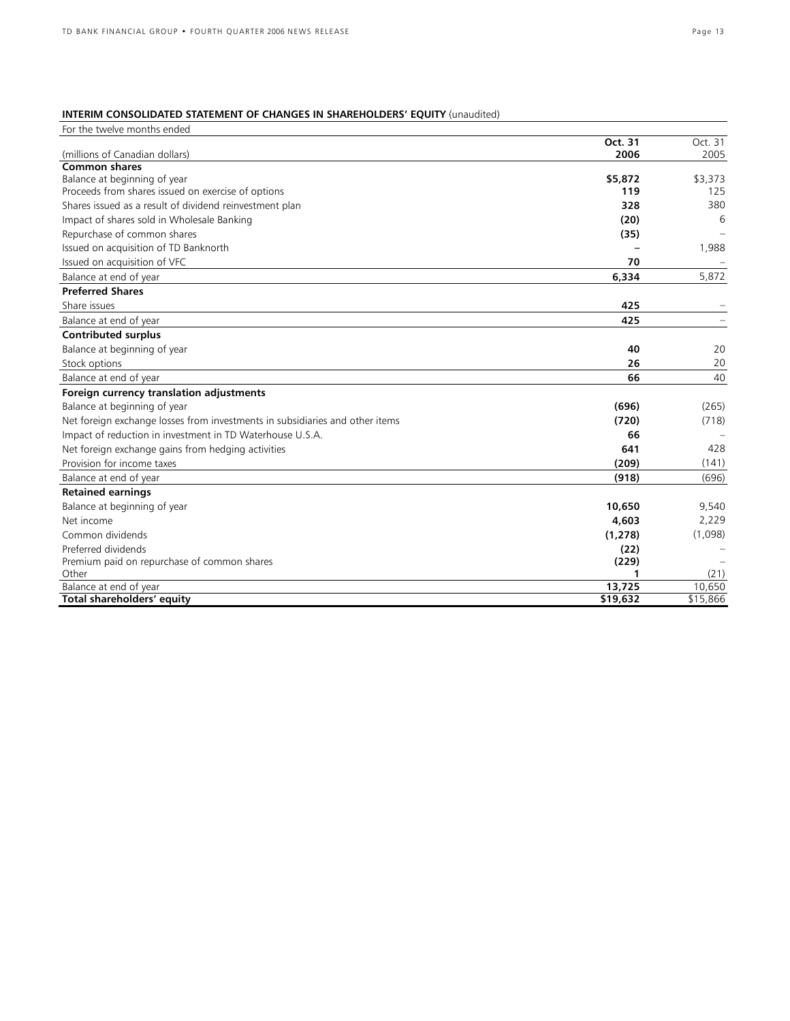# **INTERIM CONSOLIDATED STATEMENT OF CHANGES IN SHAREHOLDERS' EQUITY** (unaudited)

| For the twelve months ended                                                  |                |            |
|------------------------------------------------------------------------------|----------------|------------|
|                                                                              | Oct. 31        | Oct. 31    |
| (millions of Canadian dollars)                                               | 2006           | 2005       |
| <b>Common shares</b>                                                         |                |            |
| Balance at beginning of year                                                 | \$5,872<br>119 | \$3,373    |
| Proceeds from shares issued on exercise of options                           |                | 125<br>380 |
| Shares issued as a result of dividend reinvestment plan                      | 328            |            |
| Impact of shares sold in Wholesale Banking                                   | (20)           | 6          |
| Repurchase of common shares                                                  | (35)           |            |
| Issued on acquisition of TD Banknorth                                        |                | 1,988      |
| Issued on acquisition of VFC                                                 | 70             |            |
| Balance at end of year                                                       | 6,334          | 5,872      |
| <b>Preferred Shares</b>                                                      |                |            |
| Share issues                                                                 | 425            |            |
| Balance at end of year                                                       | 425            |            |
| <b>Contributed surplus</b>                                                   |                |            |
| Balance at beginning of year                                                 | 40             | 20         |
| Stock options                                                                | 26             | 20         |
| Balance at end of year                                                       | 66             | 40         |
| Foreign currency translation adjustments                                     |                |            |
| Balance at beginning of year                                                 | (696)          | (265)      |
| Net foreign exchange losses from investments in subsidiaries and other items | (720)          | (718)      |
| Impact of reduction in investment in TD Waterhouse U.S.A.                    | 66             |            |
| Net foreign exchange gains from hedging activities                           | 641            | 428        |
| Provision for income taxes                                                   | (209)          | (141)      |
| Balance at end of year                                                       | (918)          | (696)      |
| <b>Retained earnings</b>                                                     |                |            |
| Balance at beginning of year                                                 | 10,650         | 9,540      |
| Net income                                                                   | 4,603          | 2,229      |
| Common dividends                                                             | (1, 278)       | (1,098)    |
| Preferred dividends                                                          | (22)           |            |
| Premium paid on repurchase of common shares                                  | (229)          |            |
| Other                                                                        | 1              | (21)       |
| Balance at end of year                                                       | 13,725         | 10,650     |
| Total shareholders' equity                                                   | \$19,632       | \$15,866   |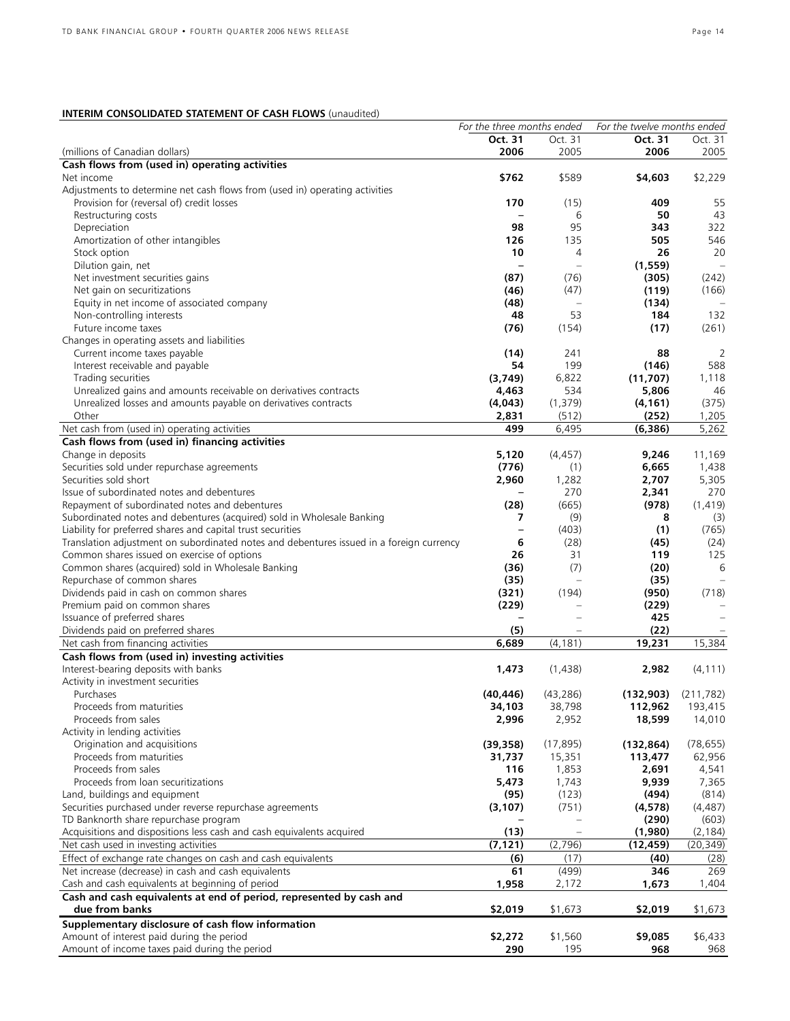# **INTERIM CONSOLIDATED STATEMENT OF CASH FLOWS** (unaudited)

|                                                                                          | For the three months ended | For the twelve months ended |            |            |
|------------------------------------------------------------------------------------------|----------------------------|-----------------------------|------------|------------|
|                                                                                          | Oct. 31                    | Oct. 31                     | Oct. 31    | Oct. 31    |
| (millions of Canadian dollars)                                                           | 2006                       | 2005                        | 2006       | 2005       |
| Cash flows from (used in) operating activities                                           |                            |                             |            |            |
| Net income                                                                               | \$762                      | \$589                       | \$4,603    | \$2,229    |
| Adjustments to determine net cash flows from (used in) operating activities              |                            |                             |            |            |
| Provision for (reversal of) credit losses                                                | 170                        | (15)                        | 409        | 55         |
| Restructuring costs                                                                      | $\qquad \qquad -$          | 6                           | 50         | 43         |
| Depreciation                                                                             | 98                         | 95                          | 343        | 322        |
| Amortization of other intangibles                                                        | 126                        | 135                         | 505        | 546        |
| Stock option                                                                             | 10                         | 4                           | 26         | 20         |
| Dilution gain, net                                                                       | $\overline{\phantom{0}}$   | $\overline{\phantom{0}}$    | (1, 559)   | $\equiv$   |
| Net investment securities gains                                                          | (87)                       | (76)                        | (305)      | (242)      |
| Net gain on securitizations                                                              | (46)                       | (47)                        | (119)      | (166)      |
| Equity in net income of associated company                                               | (48)                       |                             | (134)      |            |
| Non-controlling interests                                                                | 48                         | 53                          | 184        | 132        |
| Future income taxes                                                                      | (76)                       | (154)                       | (17)       | (261)      |
| Changes in operating assets and liabilities                                              |                            |                             |            |            |
| Current income taxes payable                                                             | (14)                       | 241                         | 88         | 2          |
| Interest receivable and payable                                                          | 54                         | 199                         | (146)      | 588        |
| Trading securities                                                                       | (3,749)                    | 6,822                       | (11,707)   | 1,118      |
| Unrealized gains and amounts receivable on derivatives contracts                         | 4,463                      | 534                         | 5,806      | 46         |
| Unrealized losses and amounts payable on derivatives contracts                           | (4,043)                    | (1, 379)                    | (4, 161)   | (375)      |
| Other                                                                                    | 2,831                      | (512)                       | (252)      | 1,205      |
| Net cash from (used in) operating activities                                             | 499                        | 6,495                       | (6, 386)   | 5,262      |
| Cash flows from (used in) financing activities                                           |                            |                             |            |            |
| Change in deposits                                                                       | 5,120                      | (4, 457)                    | 9,246      | 11,169     |
| Securities sold under repurchase agreements                                              | (776)                      | (1)                         | 6,665      | 1,438      |
| Securities sold short                                                                    | 2,960                      | 1,282                       | 2,707      | 5,305      |
| Issue of subordinated notes and debentures                                               | $\overline{\phantom{m}}$   | 270                         | 2,341      | 270        |
| Repayment of subordinated notes and debentures                                           | (28)                       | (665)                       | (978)      | (1, 419)   |
| Subordinated notes and debentures (acquired) sold in Wholesale Banking                   | 7                          | (9)                         | 8          | (3)        |
| Liability for preferred shares and capital trust securities                              | -                          | (403)                       | (1)        | (765)      |
| Translation adjustment on subordinated notes and debentures issued in a foreign currency | 6                          | (28)                        | (45)       | (24)       |
| Common shares issued on exercise of options                                              | 26                         | 31                          | 119        | 125        |
| Common shares (acquired) sold in Wholesale Banking                                       | (36)                       | (7)                         | (20)       | 6          |
| Repurchase of common shares                                                              | (35)                       |                             | (35)       |            |
| Dividends paid in cash on common shares                                                  | (321)                      | (194)                       | (950)      | (718)      |
| Premium paid on common shares                                                            | (229)                      |                             | (229)      |            |
| Issuance of preferred shares                                                             |                            |                             | 425        |            |
| Dividends paid on preferred shares                                                       | (5)                        |                             | (22)       |            |
| Net cash from financing activities                                                       | 6,689                      | (4, 181)                    | 19,231     | 15,384     |
| Cash flows from (used in) investing activities                                           |                            |                             |            |            |
| Interest-bearing deposits with banks                                                     | 1,473                      | (1,438)                     | 2,982      | (4, 111)   |
| Activity in investment securities                                                        |                            |                             |            |            |
| Purchases                                                                                | (40, 446)                  | (43, 286)                   | (132,903)  | (211, 782) |
| Proceeds from maturities                                                                 | 34,103                     | 38,798                      | 112,962    | 193,415    |
| Proceeds from sales                                                                      | 2,996                      | 2,952                       | 18,599     | 14,010     |
| Activity in lending activities                                                           |                            |                             |            |            |
| Origination and acquisitions                                                             | (39, 358)                  | (17, 895)                   | (132, 864) | (78, 655)  |
| Proceeds from maturities                                                                 | 31,737                     | 15,351                      | 113,477    | 62,956     |
| Proceeds from sales                                                                      | 116                        | 1,853                       | 2,691      | 4,541      |
| Proceeds from loan securitizations                                                       | 5,473                      | 1,743                       | 9,939      | 7,365      |
| Land, buildings and equipment                                                            | (95)                       | (123)                       | (494)      | (814)      |
| Securities purchased under reverse repurchase agreements                                 | (3, 107)                   | (751)                       | (4, 578)   | (4, 487)   |
| TD Banknorth share repurchase program                                                    |                            |                             | (290)      | (603)      |
| Acquisitions and dispositions less cash and cash equivalents acquired                    | (13)                       |                             | (1,980)    | (2, 184)   |
| Net cash used in investing activities                                                    | (7, 121)                   | (2,796)                     | (12, 459)  | (20, 349)  |
| Effect of exchange rate changes on cash and cash equivalents                             | (6)                        | (17)                        | (40)       | (28)       |
| Net increase (decrease) in cash and cash equivalents                                     | 61                         | (499)                       | 346        | 269        |
| Cash and cash equivalents at beginning of period                                         | 1,958                      | 2,172                       | 1,673      | 1,404      |
| Cash and cash equivalents at end of period, represented by cash and                      |                            |                             |            |            |
| due from banks                                                                           | \$2,019                    | \$1,673                     | \$2,019    | \$1,673    |
| Supplementary disclosure of cash flow information                                        |                            |                             |            |            |
| Amount of interest paid during the period                                                | \$2,272                    | \$1,560                     | \$9,085    | \$6,433    |
| Amount of income taxes paid during the period                                            | 290                        | 195                         | 968        | 968        |
|                                                                                          |                            |                             |            |            |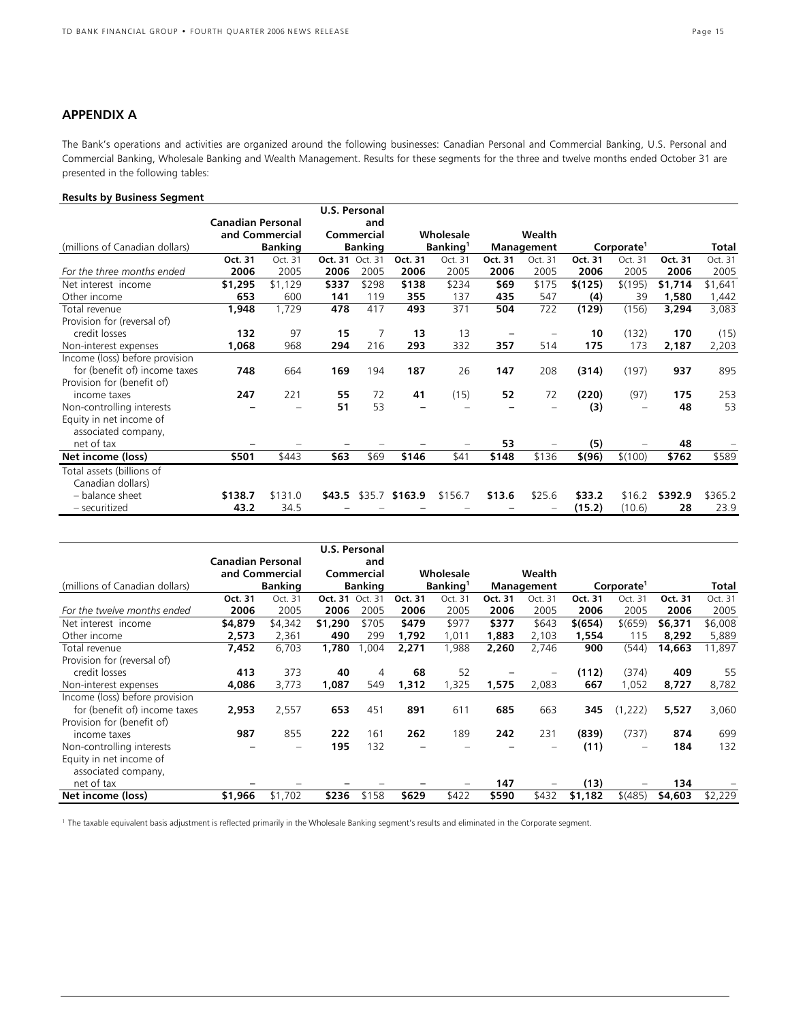# **APPENDIX A**

The Bank's operations and activities are organized around the following businesses: Canadian Personal and Commercial Banking, U.S. Personal and Commercial Banking, Wholesale Banking and Wealth Management. Results for these segments for the three and twelve months ended October 31 are presented in the following tables:

# **Results by Business Segment**

|                                |                          |                |                 | <b>U.S. Personal</b> |                |                      |         |            |         |                        |         |         |
|--------------------------------|--------------------------|----------------|-----------------|----------------------|----------------|----------------------|---------|------------|---------|------------------------|---------|---------|
|                                | <b>Canadian Personal</b> |                |                 | and                  |                |                      |         |            |         |                        |         |         |
|                                | and Commercial           |                |                 | Commercial           |                | Wholesale            |         | Wealth     |         |                        |         |         |
| (millions of Canadian dollars) |                          | <b>Banking</b> |                 | <b>Banking</b>       |                | Banking <sup>1</sup> |         | Management |         | Corporate <sup>1</sup> |         | Total   |
|                                | Oct. 31                  | Oct. 31        | Oct. 31 Oct. 31 |                      | Oct. 31        | Oct. 31              | Oct. 31 | Oct. 31    | Oct. 31 | Oct. 31                | Oct. 31 | Oct. 31 |
| For the three months ended     | 2006                     | 2005           | 2006            | 2005                 | 2006           | 2005                 | 2006    | 2005       | 2006    | 2005                   | 2006    | 2005    |
| Net interest income            | \$1,295                  | \$1,129        | \$337           | \$298                | \$138          | \$234                | \$69    | \$175      | \$(125) | \$(195)                | \$1,714 | \$1,641 |
| Other income                   | 653                      | 600            | 141             | 119                  | 355            | 137                  | 435     | 547        | (4)     | 39                     | 1,580   | ,442    |
| Total revenue                  | 1,948                    | 1,729          | 478             | 417                  | 493            | 371                  | 504     | 722        | (129)   | (156)                  | 3,294   | 3,083   |
| Provision for (reversal of)    |                          |                |                 |                      |                |                      |         |            |         |                        |         |         |
| credit losses                  | 132                      | 97             | 15              |                      | 13             | 13                   |         |            | 10      | (132)                  | 170     | (15)    |
| Non-interest expenses          | 1,068                    | 968            | 294             | 216                  | 293            | 332                  | 357     | 514        | 175     | 173                    | 2,187   | 2,203   |
| Income (loss) before provision |                          |                |                 |                      |                |                      |         |            |         |                        |         |         |
| for (benefit of) income taxes  | 748                      | 664            | 169             | 194                  | 187            | 26                   | 147     | 208        | (314)   | (197)                  | 937     | 895     |
| Provision for (benefit of)     |                          |                |                 |                      |                |                      |         |            |         |                        |         |         |
| income taxes                   | 247                      | 221            | 55              | 72                   | 41             | (15)                 | 52      | 72         | (220)   | (97)                   | 175     | 253     |
| Non-controlling interests      |                          |                | 51              | 53                   |                |                      |         |            | (3)     |                        | 48      | 53      |
| Equity in net income of        |                          |                |                 |                      |                |                      |         |            |         |                        |         |         |
| associated company,            |                          |                |                 |                      |                |                      |         |            |         |                        |         |         |
| net of tax                     |                          |                |                 |                      |                |                      | 53      |            | (5)     |                        | 48      |         |
| Net income (loss)              | \$501                    | \$443          | \$63            | \$69                 | \$146          | \$41                 | \$148   | \$136      | \$(96)  | \$(100)                | \$762   | \$589   |
| Total assets (billions of      |                          |                |                 |                      |                |                      |         |            |         |                        |         |         |
| Canadian dollars)              |                          |                |                 |                      |                |                      |         |            |         |                        |         |         |
| - balance sheet                | \$138.7                  | \$131.0        | \$43.5          |                      | \$35.7 \$163.9 | \$156.7              | \$13.6  | \$25.6     | \$33.2  | \$16.2                 | \$392.9 | \$365.2 |
| - securitized                  | 43.2                     | 34.5           |                 |                      |                |                      |         |            | (15.2)  | (10.6)                 | 28      | 23.9    |

|                                |                                     |                        | <b>U.S. Personal</b>   |       |                |         |            |                          |                        |                   |         |         |
|--------------------------------|-------------------------------------|------------------------|------------------------|-------|----------------|---------|------------|--------------------------|------------------------|-------------------|---------|---------|
|                                | Canadian Personal<br>and Commercial |                        | and<br>Commercial      |       |                |         |            |                          |                        |                   |         |         |
|                                |                                     |                        |                        |       | Wholesale      |         | Wealth     |                          |                        |                   |         |         |
| (millions of Canadian dollars) | <b>Banking</b>                      |                        | <b>Banking</b>         |       | <b>Banking</b> |         | Management |                          | Corporate <sup>1</sup> |                   |         | Total   |
|                                | Oct. 31                             | Oct. 31                | <b>Oct. 31 Oct. 31</b> |       | Oct. 31        | Oct. 31 | Oct. 31    | Oct. 31                  | Oct. 31                | Oct. 31           | Oct. 31 | Oct. 31 |
| For the twelve months ended    | 2006                                | 2005                   | 2006                   | 2005  | 2006           | 2005    | 2006       | 2005                     | 2006                   | 2005              | 2006    | 2005    |
| Net interest income            | \$4,879                             | \$4,342                | \$1,290                | \$705 | \$479          | \$977   | \$377      | \$643                    | \$(654)                | \$(659)           | \$6,371 | \$6,008 |
| Other income                   | 2,573                               | 2,361                  | 490                    | 299   | 1,792          | 1,011   | 1,883      | 2,103                    | 1,554                  | 115               | 8,292   | 5,889   |
| Total revenue                  | 7,452                               | 6,703                  | 1,780                  | ,004  | 2,271          | 1,988   | 2,260      | 2,746                    | 900                    | (544)             | 14,663  | 11,897  |
| Provision for (reversal of)    |                                     |                        |                        |       |                |         |            |                          |                        |                   |         |         |
| credit losses                  | 413                                 | 373                    | 40                     | 4     | 68             | 52      |            | -                        | (112)                  | (374)             | 409     | 55      |
| Non-interest expenses          | 4,086                               | 3,773                  | 1,087                  | 549   | 1,312          | 1,325   | 1,575      | 2,083                    | 667                    | 1,052             | 8,727   | 8,782   |
| Income (loss) before provision |                                     |                        |                        |       |                |         |            |                          |                        |                   |         |         |
| for (benefit of) income taxes  | 2,953                               | 2,557                  | 653                    | 451   | 891            | 611     | 685        | 663                      | 345                    | (1,222)           | 5,527   | 3,060   |
| Provision for (benefit of)     |                                     |                        |                        |       |                |         |            |                          |                        |                   |         |         |
| income taxes                   | 987                                 | 855                    | 222                    | 161   | 262            | 189     | 242        | 231                      | (839)                  | (737)             | 874     | 699     |
| Non-controlling interests      |                                     | $\qquad \qquad \qquad$ | 195                    | 132   | -              |         |            | $\overline{\phantom{m}}$ | (11)                   | $\qquad \qquad =$ | 184     | 132     |
| Equity in net income of        |                                     |                        |                        |       |                |         |            |                          |                        |                   |         |         |
| associated company,            |                                     |                        |                        |       |                |         |            |                          |                        |                   |         |         |
| net of tax                     |                                     |                        |                        |       |                |         | 147        |                          | (13)                   |                   | 134     |         |
| Net income (loss)              | \$1,966                             | \$1,702                | \$236                  | \$158 | \$629          | \$422   | \$590      | \$432                    | \$1,182                | \$ (485)          | \$4,603 | \$2,229 |

1 The taxable equivalent basis adjustment is reflected primarily in the Wholesale Banking segment's results and eliminated in the Corporate segment.